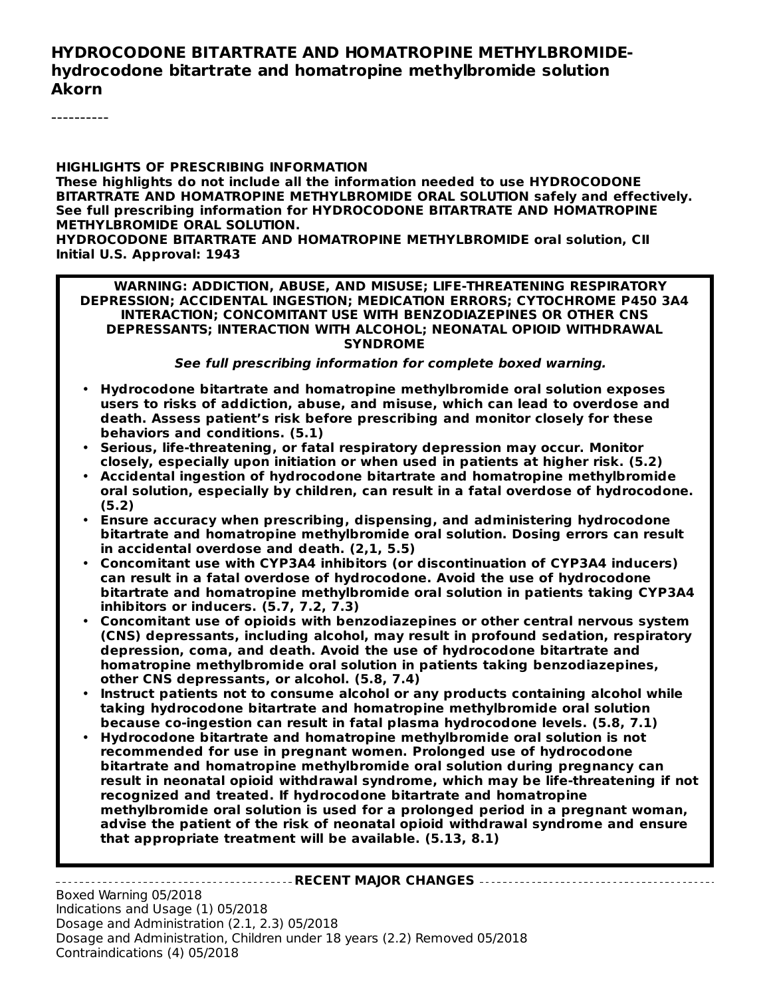#### **HYDROCODONE BITARTRATE AND HOMATROPINE METHYLBROMIDEhydrocodone bitartrate and homatropine methylbromide solution Akorn**

----------

#### **HIGHLIGHTS OF PRESCRIBING INFORMATION**

**These highlights do not include all the information needed to use HYDROCODONE BITARTRATE AND HOMATROPINE METHYLBROMIDE ORAL SOLUTION safely and effectively. See full prescribing information for HYDROCODONE BITARTRATE AND HOMATROPINE METHYLBROMIDE ORAL SOLUTION.**

**HYDROCODONE BITARTRATE AND HOMATROPINE METHYLBROMIDE oral solution, CII Initial U.S. Approval: 1943**

**WARNING: ADDICTION, ABUSE, AND MISUSE; LIFE-THREATENING RESPIRATORY DEPRESSION; ACCIDENTAL INGESTION; MEDICATION ERRORS; CYTOCHROME P450 3A4 INTERACTION; CONCOMITANT USE WITH BENZODIAZEPINES OR OTHER CNS DEPRESSANTS; INTERACTION WITH ALCOHOL; NEONATAL OPIOID WITHDRAWAL SYNDROME**

**See full prescribing information for complete boxed warning.**

- **Hydrocodone bitartrate and homatropine methylbromide oral solution exposes users to risks of addiction, abuse, and misuse, which can lead to overdose and death. Assess patient's risk before prescribing and monitor closely for these behaviors and conditions. (5.1)**
- **Serious, life-threatening, or fatal respiratory depression may occur. Monitor closely, especially upon initiation or when used in patients at higher risk. (5.2)**
- **Accidental ingestion of hydrocodone bitartrate and homatropine methylbromide oral solution, especially by children, can result in a fatal overdose of hydrocodone. (5.2)**
- **Ensure accuracy when prescribing, dispensing, and administering hydrocodone bitartrate and homatropine methylbromide oral solution. Dosing errors can result in accidental overdose and death. (2,1, 5.5)**
- **Concomitant use with CYP3A4 inhibitors (or discontinuation of CYP3A4 inducers) can result in a fatal overdose of hydrocodone. Avoid the use of hydrocodone bitartrate and homatropine methylbromide oral solution in patients taking CYP3A4 inhibitors or inducers. (5.7, 7.2, 7.3)**
- **Concomitant use of opioids with benzodiazepines or other central nervous system (CNS) depressants, including alcohol, may result in profound sedation, respiratory depression, coma, and death. Avoid the use of hydrocodone bitartrate and homatropine methylbromide oral solution in patients taking benzodiazepines, other CNS depressants, or alcohol. (5.8, 7.4)**
- **Instruct patients not to consume alcohol or any products containing alcohol while taking hydrocodone bitartrate and homatropine methylbromide oral solution because co-ingestion can result in fatal plasma hydrocodone levels. (5.8, 7.1)**
- **Hydrocodone bitartrate and homatropine methylbromide oral solution is not recommended for use in pregnant women. Prolonged use of hydrocodone bitartrate and homatropine methylbromide oral solution during pregnancy can result in neonatal opioid withdrawal syndrome, which may be life-threatening if not recognized and treated. If hydrocodone bitartrate and homatropine methylbromide oral solution is used for a prolonged period in a pregnant woman, advise the patient of the risk of neonatal opioid withdrawal syndrome and ensure that appropriate treatment will be available. (5.13, 8.1)**

#### **RECENT MAJOR CHANGES**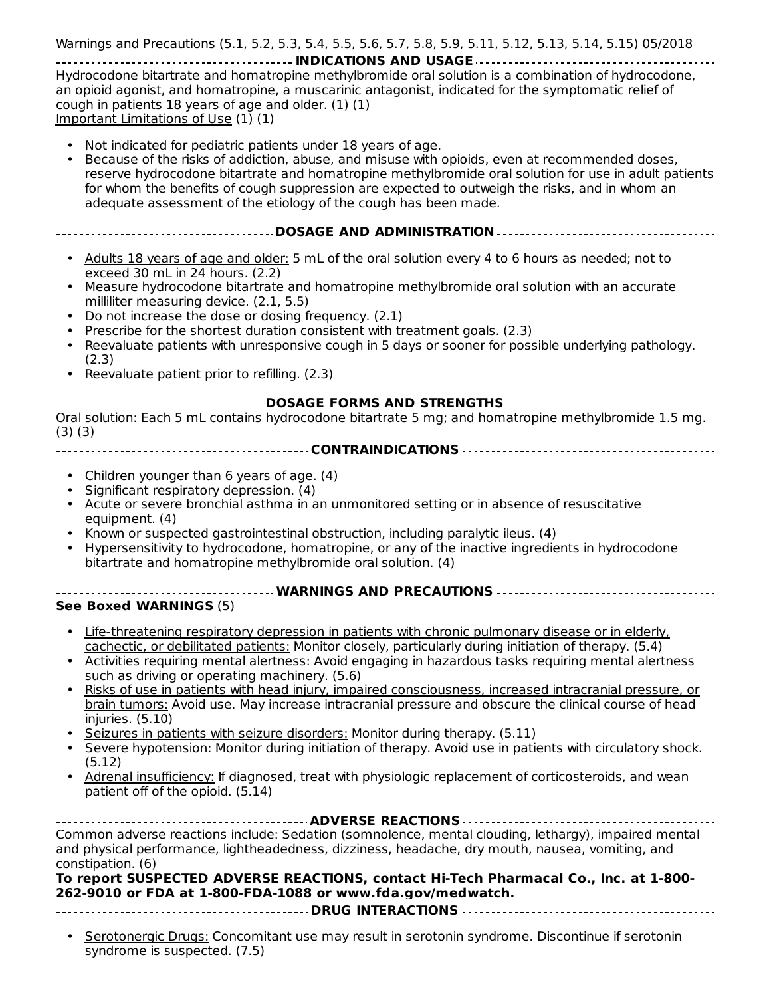Contraindications (4) 05/2018 Warnings and Precautions (5.1, 5.2, 5.3, 5.4, 5.5, 5.6, 5.7, 5.8, 5.9, 5.11, 5.12, 5.13, 5.14, 5.15) 05/2018

**INDICATIONS AND USAGE** Hydrocodone bitartrate and homatropine methylbromide oral solution is a combination of hydrocodone, an opioid agonist, and homatropine, a muscarinic antagonist, indicated for the symptomatic relief of cough in patients 18 years of age and older. (1) (1) Important Limitations of Use  $(1)$   $(1)$ 

- Not indicated for pediatric patients under 18 years of age.
- Because of the risks of addiction, abuse, and misuse with opioids, even at recommended doses, reserve hydrocodone bitartrate and homatropine methylbromide oral solution for use in adult patients for whom the benefits of cough suppression are expected to outweigh the risks, and in whom an adequate assessment of the etiology of the cough has been made.
- **DOSAGE AND ADMINISTRATION**
	- Adults 18 years of age and older: 5 mL of the oral solution every 4 to 6 hours as needed; not to exceed 30 mL in 24 hours. (2.2)
	- Measure hydrocodone bitartrate and homatropine methylbromide oral solution with an accurate milliliter measuring device. (2.1, 5.5)
	- Do not increase the dose or dosing frequency. (2.1)
	- Prescribe for the shortest duration consistent with treatment goals. (2.3)
	- Reevaluate patients with unresponsive cough in 5 days or sooner for possible underlying pathology. (2.3)
	- Reevaluate patient prior to refilling. (2.3)

**DOSAGE FORMS AND STRENGTHS** Oral solution: Each 5 mL contains hydrocodone bitartrate 5 mg; and homatropine methylbromide 1.5 mg. (3) (3) **CONTRAINDICATIONS**

- Children younger than 6 years of age. (4)
- Significant respiratory depression. (4)
- Acute or severe bronchial asthma in an unmonitored setting or in absence of resuscitative equipment. (4)
- Known or suspected gastrointestinal obstruction, including paralytic ileus. (4)
- Hypersensitivity to hydrocodone, homatropine, or any of the inactive ingredients in hydrocodone bitartrate and homatropine methylbromide oral solution. (4)
- **WARNINGS AND PRECAUTIONS**

#### **See Boxed WARNINGS** (5)

- Life-threatening respiratory depression in patients with chronic pulmonary disease or in elderly, cachectic, or debilitated patients: Monitor closely, particularly during initiation of therapy. (5.4)
- Activities requiring mental alertness: Avoid engaging in hazardous tasks requiring mental alertness such as driving or operating machinery. (5.6)
- Risks of use in patients with head injury, impaired consciousness, increased intracranial pressure, or brain tumors: Avoid use. May increase intracranial pressure and obscure the clinical course of head injuries. (5.10)
- Seizures in patients with seizure disorders: Monitor during therapy. (5.11)
- Severe hypotension: Monitor during initiation of therapy. Avoid use in patients with circulatory shock. (5.12)
- Adrenal insufficiency: If diagnosed, treat with physiologic replacement of corticosteroids, and wean patient off of the opioid. (5.14)

| Common adverse reactions include: Sedation (somnolence, mental clouding, lethargy), impaired mental<br>and physical performance, lightheadedness, dizziness, headache, dry mouth, nausea, vomiting, and |  |  |  |  |  |  |  |
|---------------------------------------------------------------------------------------------------------------------------------------------------------------------------------------------------------|--|--|--|--|--|--|--|
| constipation. (6)<br>To report SUSPECTED ADVERSE REACTIONS, contact Hi-Tech Pharmacal Co., Inc. at 1-800-<br>262-9010 or FDA at 1-800-FDA-1088 or www.fda.gov/medwatch.                                 |  |  |  |  |  |  |  |

- **DRUG INTERACTIONS**
- **Serotonergic Drugs: Concomitant use may result in serotonin syndrome. Discontinue if serotonin** syndrome is suspected. (7.5)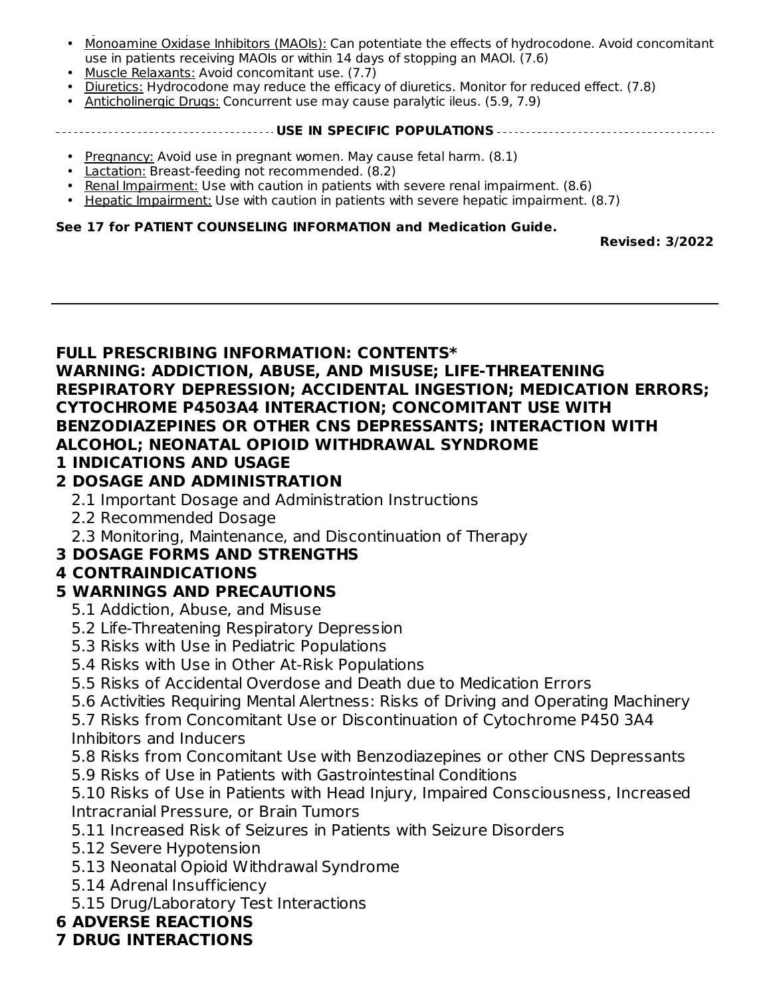- syndrome is suspected. (7.5) Monoamine Oxidase Inhibitors (MAOIs): Can potentiate the effects of hydrocodone. Avoid concomitant use in patients receiving MAOIs or within 14 days of stopping an MAOI. (7.6)
- Muscle Relaxants: Avoid concomitant use. (7.7)
- Diuretics: Hydrocodone may reduce the efficacy of diuretics. Monitor for reduced effect. (7.8)
- Anticholinergic Drugs: Concurrent use may cause paralytic ileus. (5.9, 7.9)

#### **USE IN SPECIFIC POPULATIONS**

- Pregnancy: Avoid use in pregnant women. May cause fetal harm. (8.1)
- Lactation: Breast-feeding not recommended. (8.2)
- Renal Impairment: Use with caution in patients with severe renal impairment. (8.6)
- Hepatic Impairment: Use with caution in patients with severe hepatic impairment. (8.7)

#### **See 17 for PATIENT COUNSELING INFORMATION and Medication Guide.**

**Revised: 3/2022**

#### **FULL PRESCRIBING INFORMATION: CONTENTS\* WARNING: ADDICTION, ABUSE, AND MISUSE; LIFE-THREATENING RESPIRATORY DEPRESSION; ACCIDENTAL INGESTION; MEDICATION ERRORS; CYTOCHROME P4503A4 INTERACTION; CONCOMITANT USE WITH BENZODIAZEPINES OR OTHER CNS DEPRESSANTS; INTERACTION WITH ALCOHOL; NEONATAL OPIOID WITHDRAWAL SYNDROME**

#### **1 INDICATIONS AND USAGE**

#### **2 DOSAGE AND ADMINISTRATION**

- 2.1 Important Dosage and Administration Instructions
- 2.2 Recommended Dosage
- 2.3 Monitoring, Maintenance, and Discontinuation of Therapy

#### **3 DOSAGE FORMS AND STRENGTHS**

### **4 CONTRAINDICATIONS**

### **5 WARNINGS AND PRECAUTIONS**

- 5.1 Addiction, Abuse, and Misuse
- 5.2 Life-Threatening Respiratory Depression
- 5.3 Risks with Use in Pediatric Populations
- 5.4 Risks with Use in Other At-Risk Populations
- 5.5 Risks of Accidental Overdose and Death due to Medication Errors
- 5.6 Activities Requiring Mental Alertness: Risks of Driving and Operating Machinery
- 5.7 Risks from Concomitant Use or Discontinuation of Cytochrome P450 3A4 Inhibitors and Inducers
- 5.8 Risks from Concomitant Use with Benzodiazepines or other CNS Depressants
- 5.9 Risks of Use in Patients with Gastrointestinal Conditions
- 5.10 Risks of Use in Patients with Head Injury, Impaired Consciousness, Increased Intracranial Pressure, or Brain Tumors
- 5.11 Increased Risk of Seizures in Patients with Seizure Disorders
- 5.12 Severe Hypotension
- 5.13 Neonatal Opioid Withdrawal Syndrome
- 5.14 Adrenal Insufficiency
- 5.15 Drug/Laboratory Test Interactions

### **6 ADVERSE REACTIONS**

### **7 DRUG INTERACTIONS**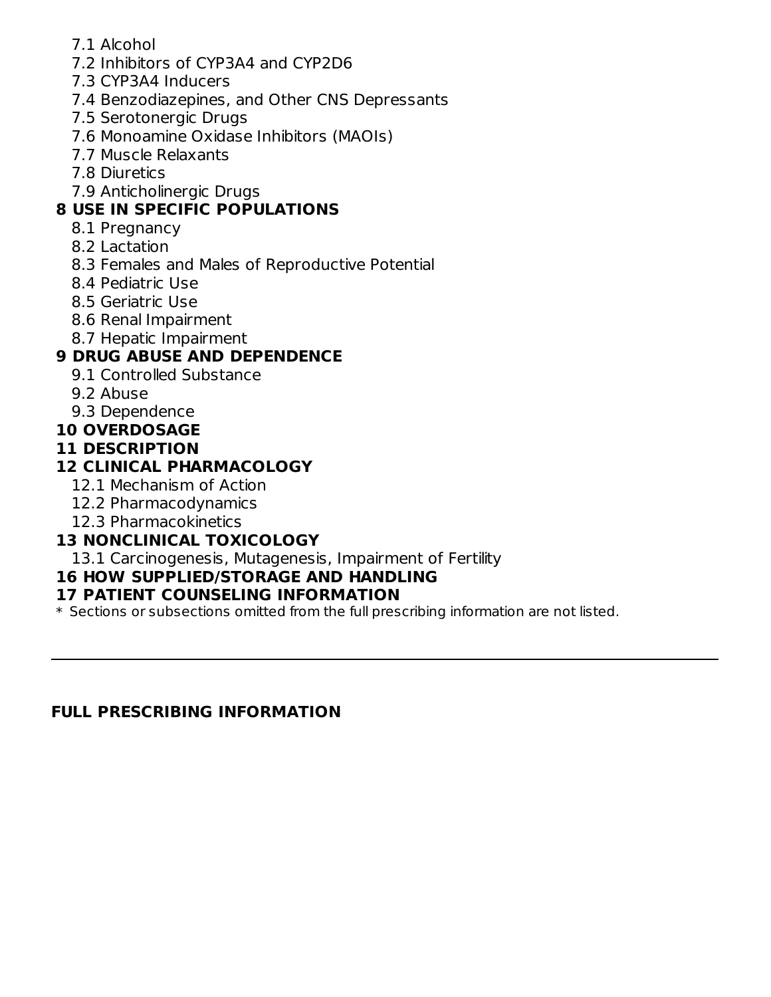- 7.1 Alcohol
- 7.2 Inhibitors of CYP3A4 and CYP2D6
- 7.3 CYP3A4 Inducers
- 7.4 Benzodiazepines, and Other CNS Depressants
- 7.5 Serotonergic Drugs
- 7.6 Monoamine Oxidase Inhibitors (MAOIs)
- 7.7 Muscle Relaxants
- 7.8 Diuretics
- 7.9 Anticholinergic Drugs

### **8 USE IN SPECIFIC POPULATIONS**

- 8.1 Pregnancy
- 8.2 Lactation
- 8.3 Females and Males of Reproductive Potential
- 8.4 Pediatric Use
- 8.5 Geriatric Use
- 8.6 Renal Impairment
- 8.7 Hepatic Impairment

### **9 DRUG ABUSE AND DEPENDENCE**

- 9.1 Controlled Substance
- 9.2 Abuse
- 9.3 Dependence

#### **10 OVERDOSAGE**

#### **11 DESCRIPTION**

### **12 CLINICAL PHARMACOLOGY**

- 12.1 Mechanism of Action
- 12.2 Pharmacodynamics
- 12.3 Pharmacokinetics

### **13 NONCLINICAL TOXICOLOGY**

13.1 Carcinogenesis, Mutagenesis, Impairment of Fertility

# **16 HOW SUPPLIED/STORAGE AND HANDLING**

### **17 PATIENT COUNSELING INFORMATION**

\* Sections or subsections omitted from the full prescribing information are not listed.

# **FULL PRESCRIBING INFORMATION**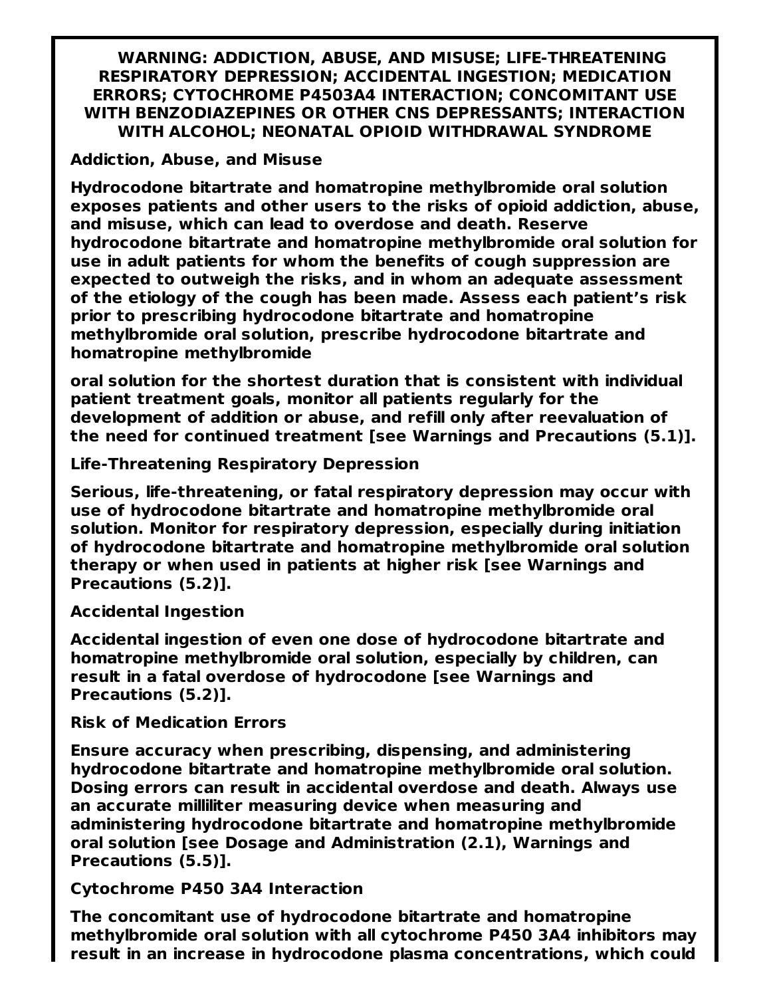**WARNING: ADDICTION, ABUSE, AND MISUSE; LIFE-THREATENING RESPIRATORY DEPRESSION; ACCIDENTAL INGESTION; MEDICATION ERRORS; CYTOCHROME P4503A4 INTERACTION; CONCOMITANT USE WITH BENZODIAZEPINES OR OTHER CNS DEPRESSANTS; INTERACTION WITH ALCOHOL; NEONATAL OPIOID WITHDRAWAL SYNDROME**

#### **Addiction, Abuse, and Misuse**

**Hydrocodone bitartrate and homatropine methylbromide oral solution exposes patients and other users to the risks of opioid addiction, abuse, and misuse, which can lead to overdose and death. Reserve hydrocodone bitartrate and homatropine methylbromide oral solution for use in adult patients for whom the benefits of cough suppression are expected to outweigh the risks, and in whom an adequate assessment of the etiology of the cough has been made. Assess each patient's risk prior to prescribing hydrocodone bitartrate and homatropine methylbromide oral solution, prescribe hydrocodone bitartrate and homatropine methylbromide**

**oral solution for the shortest duration that is consistent with individual patient treatment goals, monitor all patients regularly for the development of addition or abuse, and refill only after reevaluation of the need for continued treatment [see Warnings and Precautions (5.1)].**

**Life-Threatening Respiratory Depression**

**Serious, life-threatening, or fatal respiratory depression may occur with use of hydrocodone bitartrate and homatropine methylbromide oral solution. Monitor for respiratory depression, especially during initiation of hydrocodone bitartrate and homatropine methylbromide oral solution therapy or when used in patients at higher risk [see Warnings and Precautions (5.2)].**

**Accidental Ingestion**

**Accidental ingestion of even one dose of hydrocodone bitartrate and homatropine methylbromide oral solution, especially by children, can result in a fatal overdose of hydrocodone [see Warnings and Precautions (5.2)].**

**Risk of Medication Errors**

**Ensure accuracy when prescribing, dispensing, and administering hydrocodone bitartrate and homatropine methylbromide oral solution. Dosing errors can result in accidental overdose and death. Always use an accurate milliliter measuring device when measuring and administering hydrocodone bitartrate and homatropine methylbromide oral solution [see Dosage and Administration (2.1), Warnings and Precautions (5.5)].**

**Cytochrome P450 3A4 Interaction**

**The concomitant use of hydrocodone bitartrate and homatropine methylbromide oral solution with all cytochrome P450 3A4 inhibitors may result in an increase in hydrocodone plasma concentrations, which could**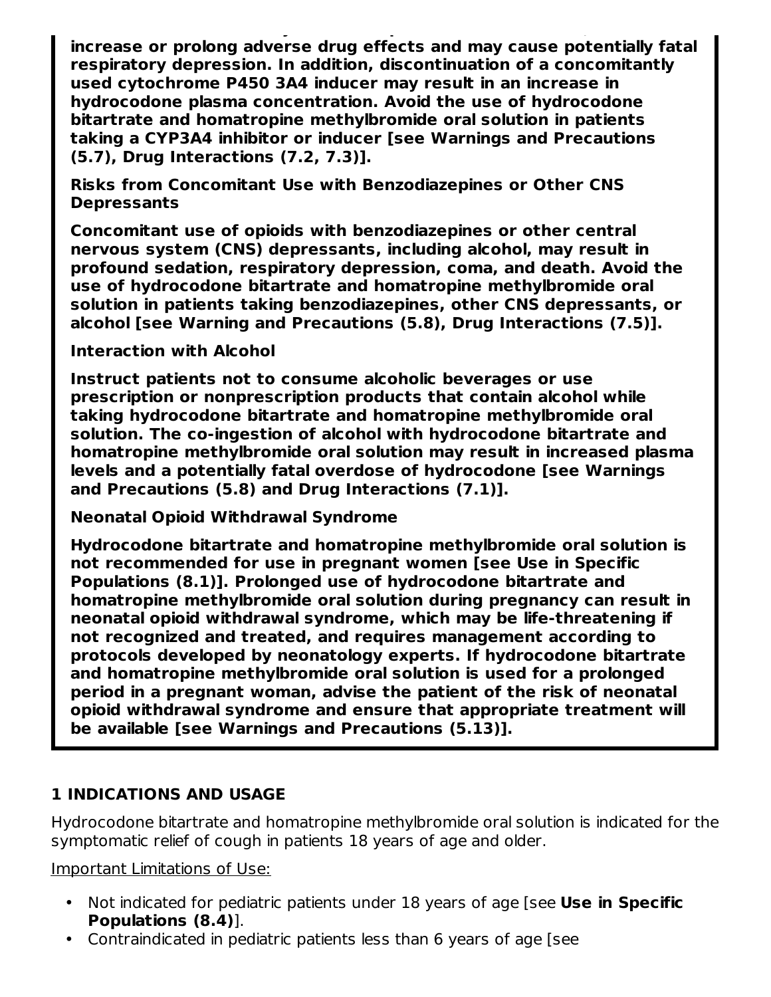**result in an increase in hydrocodone plasma concentrations, which could increase or prolong adverse drug effects and may cause potentially fatal respiratory depression. In addition, discontinuation of a concomitantly used cytochrome P450 3A4 inducer may result in an increase in hydrocodone plasma concentration. Avoid the use of hydrocodone bitartrate and homatropine methylbromide oral solution in patients taking a CYP3A4 inhibitor or inducer [see Warnings and Precautions (5.7), Drug Interactions (7.2, 7.3)].**

**Risks from Concomitant Use with Benzodiazepines or Other CNS Depressants**

**Concomitant use of opioids with benzodiazepines or other central nervous system (CNS) depressants, including alcohol, may result in profound sedation, respiratory depression, coma, and death. Avoid the use of hydrocodone bitartrate and homatropine methylbromide oral solution in patients taking benzodiazepines, other CNS depressants, or alcohol [see Warning and Precautions (5.8), Drug Interactions (7.5)].**

**Interaction with Alcohol**

**Instruct patients not to consume alcoholic beverages or use prescription or nonprescription products that contain alcohol while taking hydrocodone bitartrate and homatropine methylbromide oral solution. The co-ingestion of alcohol with hydrocodone bitartrate and homatropine methylbromide oral solution may result in increased plasma levels and a potentially fatal overdose of hydrocodone [see Warnings and Precautions (5.8) and Drug Interactions (7.1)].**

**Neonatal Opioid Withdrawal Syndrome**

**Hydrocodone bitartrate and homatropine methylbromide oral solution is not recommended for use in pregnant women [see Use in Specific Populations (8.1)]. Prolonged use of hydrocodone bitartrate and homatropine methylbromide oral solution during pregnancy can result in neonatal opioid withdrawal syndrome, which may be life-threatening if not recognized and treated, and requires management according to protocols developed by neonatology experts. If hydrocodone bitartrate and homatropine methylbromide oral solution is used for a prolonged period in a pregnant woman, advise the patient of the risk of neonatal opioid withdrawal syndrome and ensure that appropriate treatment will be available [see Warnings and Precautions (5.13)].**

### **1 INDICATIONS AND USAGE**

Hydrocodone bitartrate and homatropine methylbromide oral solution is indicated for the symptomatic relief of cough in patients 18 years of age and older.

Important Limitations of Use:

- Not indicated for pediatric patients under 18 years of age [see **Use in Specific Populations (8.4)**].
- Contraindicated in pediatric patients less than 6 years of age [see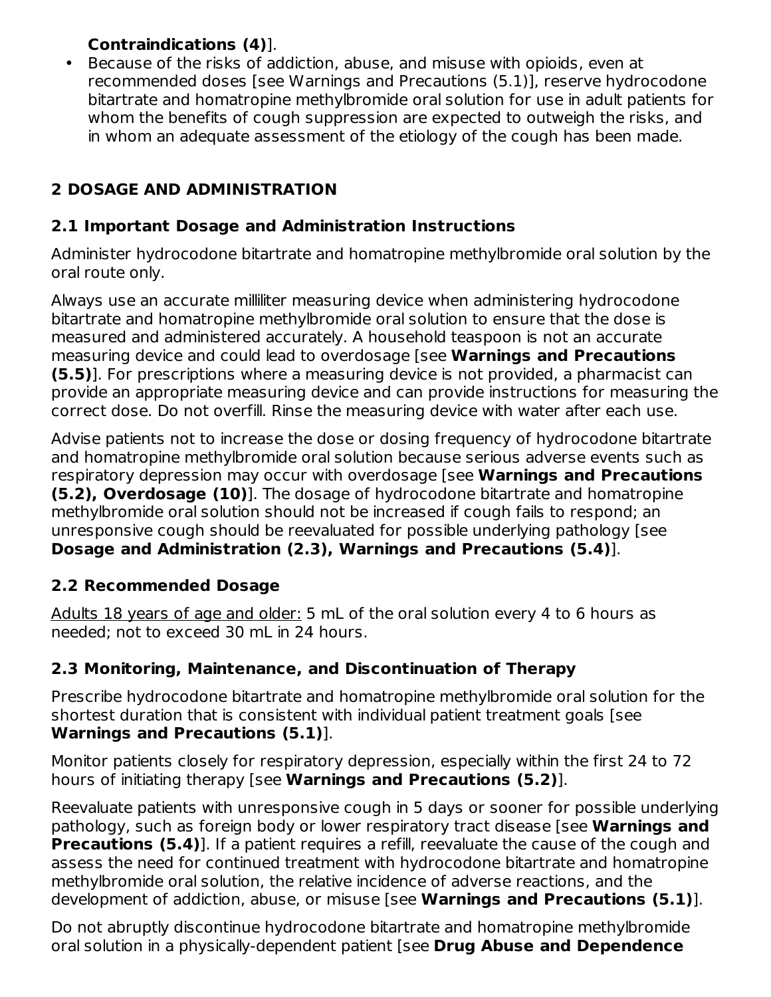### **Contraindications (4)**].

• Because of the risks of addiction, abuse, and misuse with opioids, even at recommended doses [see Warnings and Precautions (5.1)], reserve hydrocodone bitartrate and homatropine methylbromide oral solution for use in adult patients for whom the benefits of cough suppression are expected to outweigh the risks, and in whom an adequate assessment of the etiology of the cough has been made.

## **2 DOSAGE AND ADMINISTRATION**

#### **2.1 Important Dosage and Administration Instructions**

Administer hydrocodone bitartrate and homatropine methylbromide oral solution by the oral route only.

Always use an accurate milliliter measuring device when administering hydrocodone bitartrate and homatropine methylbromide oral solution to ensure that the dose is measured and administered accurately. A household teaspoon is not an accurate measuring device and could lead to overdosage [see **Warnings and Precautions (5.5)**]. For prescriptions where a measuring device is not provided, a pharmacist can provide an appropriate measuring device and can provide instructions for measuring the correct dose. Do not overfill. Rinse the measuring device with water after each use.

Advise patients not to increase the dose or dosing frequency of hydrocodone bitartrate and homatropine methylbromide oral solution because serious adverse events such as respiratory depression may occur with overdosage [see **Warnings and Precautions (5.2), Overdosage (10)**]. The dosage of hydrocodone bitartrate and homatropine methylbromide oral solution should not be increased if cough fails to respond; an unresponsive cough should be reevaluated for possible underlying pathology [see **Dosage and Administration (2.3), Warnings and Precautions (5.4)**].

### **2.2 Recommended Dosage**

Adults 18 years of age and older: 5 mL of the oral solution every 4 to 6 hours as needed; not to exceed 30 mL in 24 hours.

### **2.3 Monitoring, Maintenance, and Discontinuation of Therapy**

Prescribe hydrocodone bitartrate and homatropine methylbromide oral solution for the shortest duration that is consistent with individual patient treatment goals [see **Warnings and Precautions (5.1)**].

Monitor patients closely for respiratory depression, especially within the first 24 to 72 hours of initiating therapy [see **Warnings and Precautions (5.2)**].

Reevaluate patients with unresponsive cough in 5 days or sooner for possible underlying pathology, such as foreign body or lower respiratory tract disease [see **Warnings and Precautions (5.4)**]. If a patient requires a refill, reevaluate the cause of the cough and assess the need for continued treatment with hydrocodone bitartrate and homatropine methylbromide oral solution, the relative incidence of adverse reactions, and the development of addiction, abuse, or misuse [see **Warnings and Precautions (5.1)**].

Do not abruptly discontinue hydrocodone bitartrate and homatropine methylbromide oral solution in a physically-dependent patient [see **Drug Abuse and Dependence**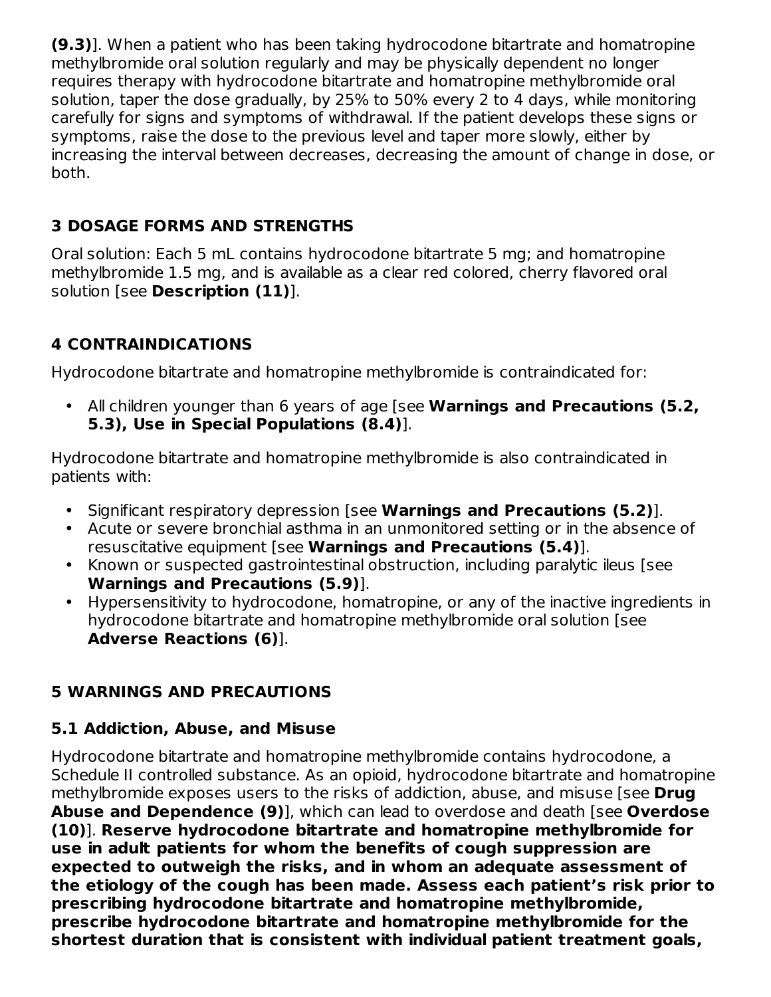**(9.3)**]. When a patient who has been taking hydrocodone bitartrate and homatropine methylbromide oral solution regularly and may be physically dependent no longer requires therapy with hydrocodone bitartrate and homatropine methylbromide oral solution, taper the dose gradually, by 25% to 50% every 2 to 4 days, while monitoring carefully for signs and symptoms of withdrawal. If the patient develops these signs or symptoms, raise the dose to the previous level and taper more slowly, either by increasing the interval between decreases, decreasing the amount of change in dose, or both.

### **3 DOSAGE FORMS AND STRENGTHS**

Oral solution: Each 5 mL contains hydrocodone bitartrate 5 mg; and homatropine methylbromide 1.5 mg, and is available as a clear red colored, cherry flavored oral solution [see **Description (11)**].

## **4 CONTRAINDICATIONS**

Hydrocodone bitartrate and homatropine methylbromide is contraindicated for:

• All children younger than 6 years of age [see **Warnings and Precautions (5.2, 5.3), Use in Special Populations (8.4)**].

Hydrocodone bitartrate and homatropine methylbromide is also contraindicated in patients with:

- Significant respiratory depression [see **Warnings and Precautions (5.2)**].
- Acute or severe bronchial asthma in an unmonitored setting or in the absence of resuscitative equipment [see **Warnings and Precautions (5.4)**].
- Known or suspected gastrointestinal obstruction, including paralytic ileus [see **Warnings and Precautions (5.9)**].
- Hypersensitivity to hydrocodone, homatropine, or any of the inactive ingredients in hydrocodone bitartrate and homatropine methylbromide oral solution [see **Adverse Reactions (6)**].

### **5 WARNINGS AND PRECAUTIONS**

### **5.1 Addiction, Abuse, and Misuse**

Hydrocodone bitartrate and homatropine methylbromide contains hydrocodone, a Schedule II controlled substance. As an opioid, hydrocodone bitartrate and homatropine methylbromide exposes users to the risks of addiction, abuse, and misuse [see **Drug Abuse and Dependence (9)**], which can lead to overdose and death [see **Overdose (10)**]. **Reserve hydrocodone bitartrate and homatropine methylbromide for use in adult patients for whom the benefits of cough suppression are expected to outweigh the risks, and in whom an adequate assessment of the etiology of the cough has been made. Assess each patient's risk prior to prescribing hydrocodone bitartrate and homatropine methylbromide, prescribe hydrocodone bitartrate and homatropine methylbromide for the shortest duration that is consistent with individual patient treatment goals,**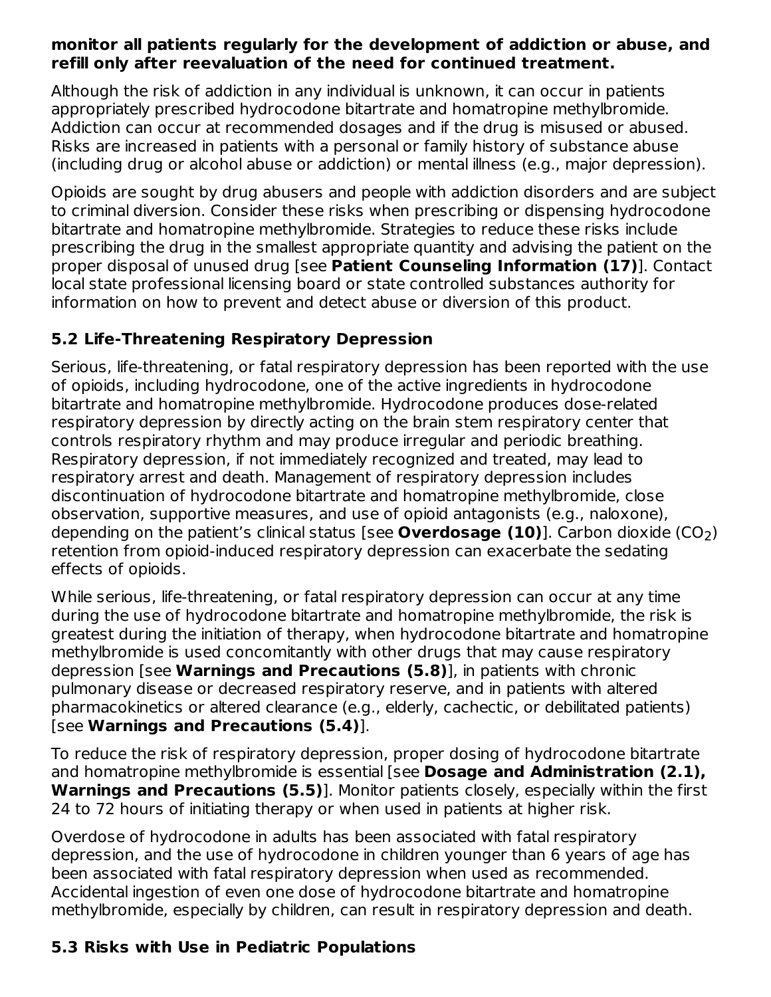#### **monitor all patients regularly for the development of addiction or abuse, and refill only after reevaluation of the need for continued treatment.**

Although the risk of addiction in any individual is unknown, it can occur in patients appropriately prescribed hydrocodone bitartrate and homatropine methylbromide. Addiction can occur at recommended dosages and if the drug is misused or abused. Risks are increased in patients with a personal or family history of substance abuse (including drug or alcohol abuse or addiction) or mental illness (e.g., major depression).

Opioids are sought by drug abusers and people with addiction disorders and are subject to criminal diversion. Consider these risks when prescribing or dispensing hydrocodone bitartrate and homatropine methylbromide. Strategies to reduce these risks include prescribing the drug in the smallest appropriate quantity and advising the patient on the proper disposal of unused drug [see **Patient Counseling Information (17)**]. Contact local state professional licensing board or state controlled substances authority for information on how to prevent and detect abuse or diversion of this product.

#### **5.2 Life-Threatening Respiratory Depression**

Serious, life-threatening, or fatal respiratory depression has been reported with the use of opioids, including hydrocodone, one of the active ingredients in hydrocodone bitartrate and homatropine methylbromide. Hydrocodone produces dose-related respiratory depression by directly acting on the brain stem respiratory center that controls respiratory rhythm and may produce irregular and periodic breathing. Respiratory depression, if not immediately recognized and treated, may lead to respiratory arrest and death. Management of respiratory depression includes discontinuation of hydrocodone bitartrate and homatropine methylbromide, close observation, supportive measures, and use of opioid antagonists (e.g., naloxone), depending on the patient's clinical status [see **Overdosage (10)**]. Carbon dioxide (CO<sub>2</sub>) retention from opioid-induced respiratory depression can exacerbate the sedating effects of opioids.

While serious, life-threatening, or fatal respiratory depression can occur at any time during the use of hydrocodone bitartrate and homatropine methylbromide, the risk is greatest during the initiation of therapy, when hydrocodone bitartrate and homatropine methylbromide is used concomitantly with other drugs that may cause respiratory depression [see **Warnings and Precautions (5.8)**], in patients with chronic pulmonary disease or decreased respiratory reserve, and in patients with altered pharmacokinetics or altered clearance (e.g., elderly, cachectic, or debilitated patients) [see **Warnings and Precautions (5.4)**].

To reduce the risk of respiratory depression, proper dosing of hydrocodone bitartrate and homatropine methylbromide is essential [see **Dosage and Administration (2.1), Warnings and Precautions (5.5)**]. Monitor patients closely, especially within the first 24 to 72 hours of initiating therapy or when used in patients at higher risk.

Overdose of hydrocodone in adults has been associated with fatal respiratory depression, and the use of hydrocodone in children younger than 6 years of age has been associated with fatal respiratory depression when used as recommended. Accidental ingestion of even one dose of hydrocodone bitartrate and homatropine methylbromide, especially by children, can result in respiratory depression and death.

### **5.3 Risks with Use in Pediatric Populations**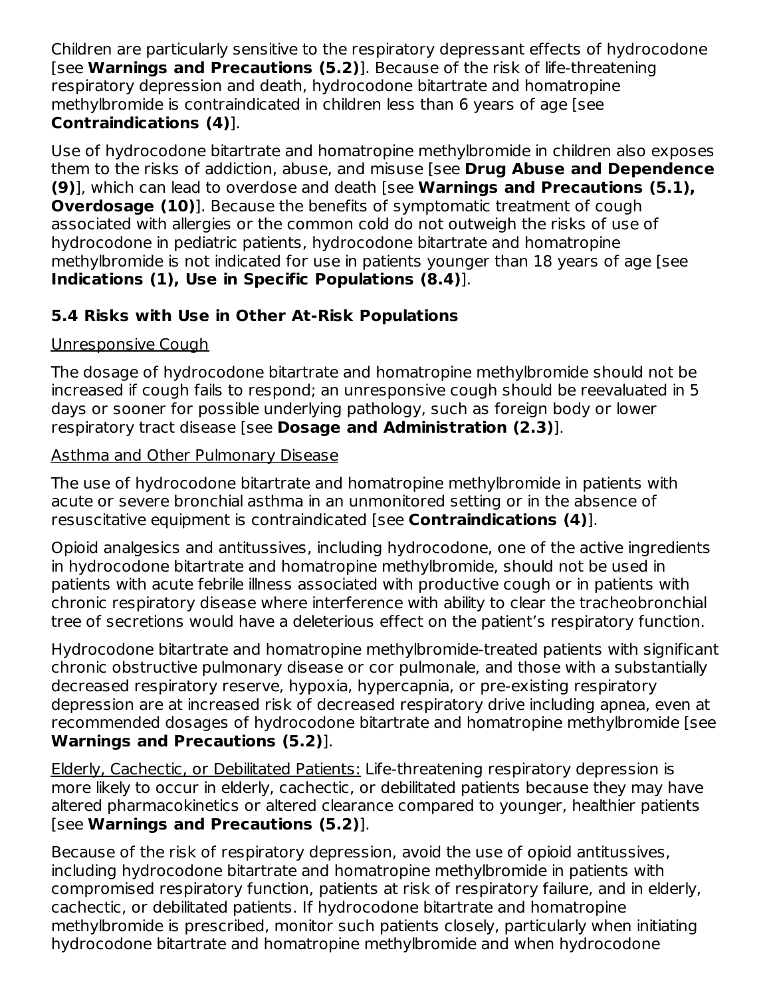Children are particularly sensitive to the respiratory depressant effects of hydrocodone [see **Warnings and Precautions (5.2)**]. Because of the risk of life-threatening respiratory depression and death, hydrocodone bitartrate and homatropine methylbromide is contraindicated in children less than 6 years of age [see **Contraindications (4)**].

Use of hydrocodone bitartrate and homatropine methylbromide in children also exposes them to the risks of addiction, abuse, and misuse [see **Drug Abuse and Dependence (9)**], which can lead to overdose and death [see **Warnings and Precautions (5.1), Overdosage (10)**]. Because the benefits of symptomatic treatment of cough associated with allergies or the common cold do not outweigh the risks of use of hydrocodone in pediatric patients, hydrocodone bitartrate and homatropine methylbromide is not indicated for use in patients younger than 18 years of age [see **Indications (1), Use in Specific Populations (8.4)**].

### **5.4 Risks with Use in Other At-Risk Populations**

### Unresponsive Cough

The dosage of hydrocodone bitartrate and homatropine methylbromide should not be increased if cough fails to respond; an unresponsive cough should be reevaluated in 5 days or sooner for possible underlying pathology, such as foreign body or lower respiratory tract disease [see **Dosage and Administration (2.3)**].

### Asthma and Other Pulmonary Disease

The use of hydrocodone bitartrate and homatropine methylbromide in patients with acute or severe bronchial asthma in an unmonitored setting or in the absence of resuscitative equipment is contraindicated [see **Contraindications (4)**].

Opioid analgesics and antitussives, including hydrocodone, one of the active ingredients in hydrocodone bitartrate and homatropine methylbromide, should not be used in patients with acute febrile illness associated with productive cough or in patients with chronic respiratory disease where interference with ability to clear the tracheobronchial tree of secretions would have a deleterious effect on the patient's respiratory function.

Hydrocodone bitartrate and homatropine methylbromide-treated patients with significant chronic obstructive pulmonary disease or cor pulmonale, and those with a substantially decreased respiratory reserve, hypoxia, hypercapnia, or pre-existing respiratory depression are at increased risk of decreased respiratory drive including apnea, even at recommended dosages of hydrocodone bitartrate and homatropine methylbromide [see **Warnings and Precautions (5.2)**].

Elderly, Cachectic, or Debilitated Patients: Life-threatening respiratory depression is more likely to occur in elderly, cachectic, or debilitated patients because they may have altered pharmacokinetics or altered clearance compared to younger, healthier patients [see **Warnings and Precautions (5.2)**].

Because of the risk of respiratory depression, avoid the use of opioid antitussives, including hydrocodone bitartrate and homatropine methylbromide in patients with compromised respiratory function, patients at risk of respiratory failure, and in elderly, cachectic, or debilitated patients. If hydrocodone bitartrate and homatropine methylbromide is prescribed, monitor such patients closely, particularly when initiating hydrocodone bitartrate and homatropine methylbromide and when hydrocodone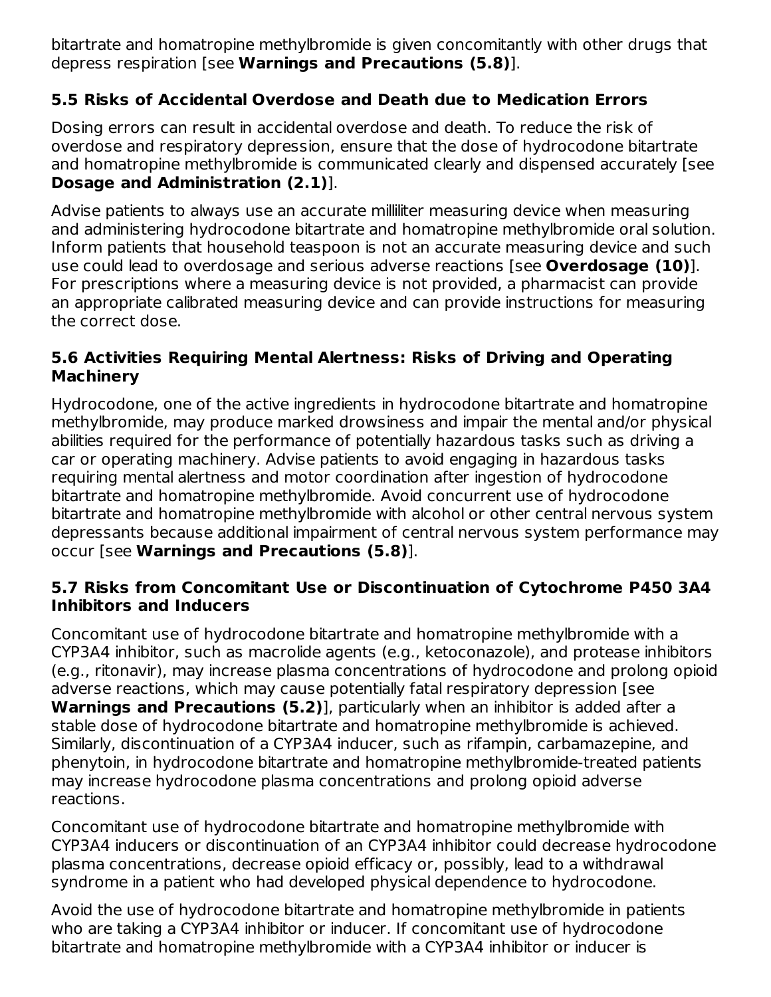bitartrate and homatropine methylbromide is given concomitantly with other drugs that depress respiration [see **Warnings and Precautions (5.8)**].

## **5.5 Risks of Accidental Overdose and Death due to Medication Errors**

Dosing errors can result in accidental overdose and death. To reduce the risk of overdose and respiratory depression, ensure that the dose of hydrocodone bitartrate and homatropine methylbromide is communicated clearly and dispensed accurately [see **Dosage and Administration (2.1)**].

Advise patients to always use an accurate milliliter measuring device when measuring and administering hydrocodone bitartrate and homatropine methylbromide oral solution. Inform patients that household teaspoon is not an accurate measuring device and such use could lead to overdosage and serious adverse reactions [see **Overdosage (10)**]. For prescriptions where a measuring device is not provided, a pharmacist can provide an appropriate calibrated measuring device and can provide instructions for measuring the correct dose.

### **5.6 Activities Requiring Mental Alertness: Risks of Driving and Operating Machinery**

Hydrocodone, one of the active ingredients in hydrocodone bitartrate and homatropine methylbromide, may produce marked drowsiness and impair the mental and/or physical abilities required for the performance of potentially hazardous tasks such as driving a car or operating machinery. Advise patients to avoid engaging in hazardous tasks requiring mental alertness and motor coordination after ingestion of hydrocodone bitartrate and homatropine methylbromide. Avoid concurrent use of hydrocodone bitartrate and homatropine methylbromide with alcohol or other central nervous system depressants because additional impairment of central nervous system performance may occur [see **Warnings and Precautions (5.8)**].

### **5.7 Risks from Concomitant Use or Discontinuation of Cytochrome P450 3A4 Inhibitors and Inducers**

Concomitant use of hydrocodone bitartrate and homatropine methylbromide with a CYP3A4 inhibitor, such as macrolide agents (e.g., ketoconazole), and protease inhibitors (e.g., ritonavir), may increase plasma concentrations of hydrocodone and prolong opioid adverse reactions, which may cause potentially fatal respiratory depression [see **Warnings and Precautions (5.2)**], particularly when an inhibitor is added after a stable dose of hydrocodone bitartrate and homatropine methylbromide is achieved. Similarly, discontinuation of a CYP3A4 inducer, such as rifampin, carbamazepine, and phenytoin, in hydrocodone bitartrate and homatropine methylbromide-treated patients may increase hydrocodone plasma concentrations and prolong opioid adverse reactions.

Concomitant use of hydrocodone bitartrate and homatropine methylbromide with CYP3A4 inducers or discontinuation of an CYP3A4 inhibitor could decrease hydrocodone plasma concentrations, decrease opioid efficacy or, possibly, lead to a withdrawal syndrome in a patient who had developed physical dependence to hydrocodone.

Avoid the use of hydrocodone bitartrate and homatropine methylbromide in patients who are taking a CYP3A4 inhibitor or inducer. If concomitant use of hydrocodone bitartrate and homatropine methylbromide with a CYP3A4 inhibitor or inducer is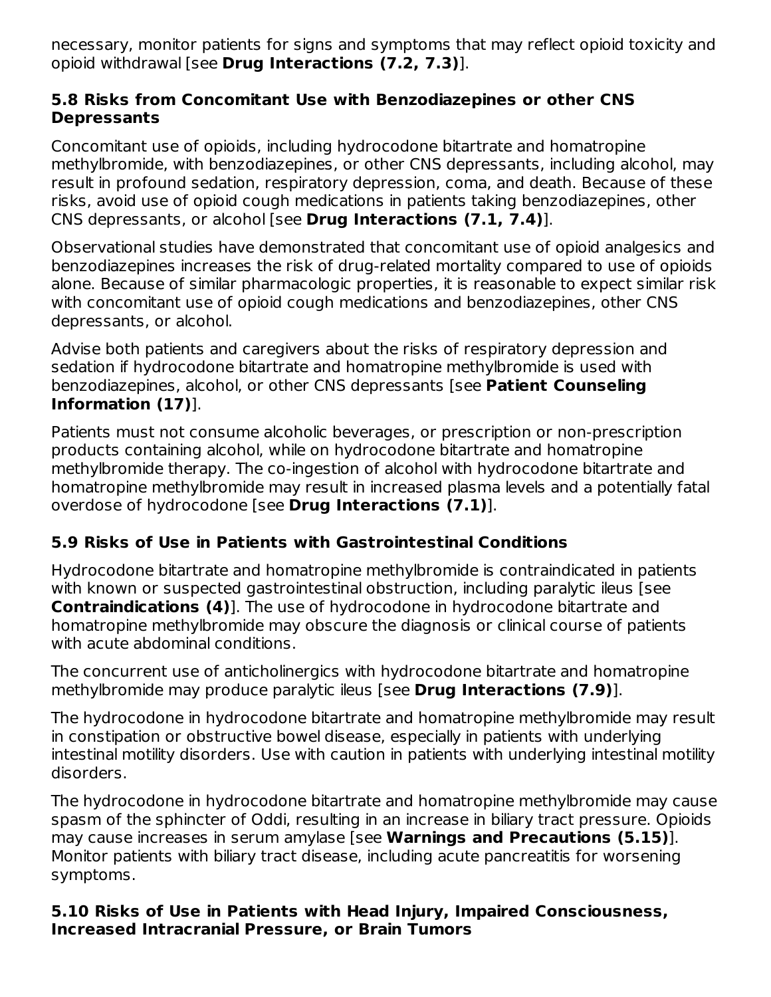necessary, monitor patients for signs and symptoms that may reflect opioid toxicity and opioid withdrawal [see **Drug Interactions (7.2, 7.3)**].

#### **5.8 Risks from Concomitant Use with Benzodiazepines or other CNS Depressants**

Concomitant use of opioids, including hydrocodone bitartrate and homatropine methylbromide, with benzodiazepines, or other CNS depressants, including alcohol, may result in profound sedation, respiratory depression, coma, and death. Because of these risks, avoid use of opioid cough medications in patients taking benzodiazepines, other CNS depressants, or alcohol [see **Drug Interactions (7.1, 7.4)**].

Observational studies have demonstrated that concomitant use of opioid analgesics and benzodiazepines increases the risk of drug-related mortality compared to use of opioids alone. Because of similar pharmacologic properties, it is reasonable to expect similar risk with concomitant use of opioid cough medications and benzodiazepines, other CNS depressants, or alcohol.

Advise both patients and caregivers about the risks of respiratory depression and sedation if hydrocodone bitartrate and homatropine methylbromide is used with benzodiazepines, alcohol, or other CNS depressants [see **Patient Counseling Information (17)**].

Patients must not consume alcoholic beverages, or prescription or non-prescription products containing alcohol, while on hydrocodone bitartrate and homatropine methylbromide therapy. The co-ingestion of alcohol with hydrocodone bitartrate and homatropine methylbromide may result in increased plasma levels and a potentially fatal overdose of hydrocodone [see **Drug Interactions (7.1)**].

### **5.9 Risks of Use in Patients with Gastrointestinal Conditions**

Hydrocodone bitartrate and homatropine methylbromide is contraindicated in patients with known or suspected gastrointestinal obstruction, including paralytic ileus [see **Contraindications (4)**]. The use of hydrocodone in hydrocodone bitartrate and homatropine methylbromide may obscure the diagnosis or clinical course of patients with acute abdominal conditions.

The concurrent use of anticholinergics with hydrocodone bitartrate and homatropine methylbromide may produce paralytic ileus [see **Drug Interactions (7.9)**].

The hydrocodone in hydrocodone bitartrate and homatropine methylbromide may result in constipation or obstructive bowel disease, especially in patients with underlying intestinal motility disorders. Use with caution in patients with underlying intestinal motility disorders.

The hydrocodone in hydrocodone bitartrate and homatropine methylbromide may cause spasm of the sphincter of Oddi, resulting in an increase in biliary tract pressure. Opioids may cause increases in serum amylase [see **Warnings and Precautions (5.15)**]. Monitor patients with biliary tract disease, including acute pancreatitis for worsening symptoms.

#### **5.10 Risks of Use in Patients with Head Injury, Impaired Consciousness, Increased Intracranial Pressure, or Brain Tumors**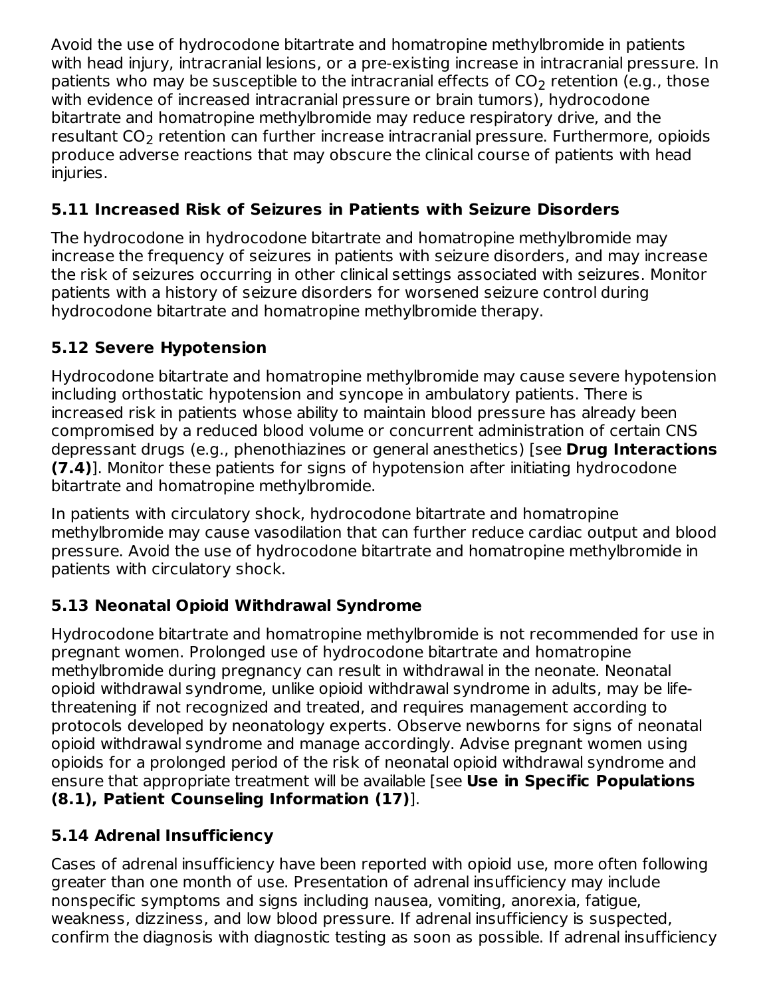Avoid the use of hydrocodone bitartrate and homatropine methylbromide in patients with head injury, intracranial lesions, or a pre-existing increase in intracranial pressure. In patients who may be susceptible to the intracranial effects of CO<sub>2</sub> retention (e.g., those with evidence of increased intracranial pressure or brain tumors), hydrocodone bitartrate and homatropine methylbromide may reduce respiratory drive, and the  ${\sf result}$ ant  ${\sf CO_2}$  retention can further increase intracranial pressure. Furthermore, opioids produce adverse reactions that may obscure the clinical course of patients with head injuries.

## **5.11 Increased Risk of Seizures in Patients with Seizure Disorders**

The hydrocodone in hydrocodone bitartrate and homatropine methylbromide may increase the frequency of seizures in patients with seizure disorders, and may increase the risk of seizures occurring in other clinical settings associated with seizures. Monitor patients with a history of seizure disorders for worsened seizure control during hydrocodone bitartrate and homatropine methylbromide therapy.

# **5.12 Severe Hypotension**

Hydrocodone bitartrate and homatropine methylbromide may cause severe hypotension including orthostatic hypotension and syncope in ambulatory patients. There is increased risk in patients whose ability to maintain blood pressure has already been compromised by a reduced blood volume or concurrent administration of certain CNS depressant drugs (e.g., phenothiazines or general anesthetics) [see **Drug Interactions (7.4)**]. Monitor these patients for signs of hypotension after initiating hydrocodone bitartrate and homatropine methylbromide.

In patients with circulatory shock, hydrocodone bitartrate and homatropine methylbromide may cause vasodilation that can further reduce cardiac output and blood pressure. Avoid the use of hydrocodone bitartrate and homatropine methylbromide in patients with circulatory shock.

# **5.13 Neonatal Opioid Withdrawal Syndrome**

Hydrocodone bitartrate and homatropine methylbromide is not recommended for use in pregnant women. Prolonged use of hydrocodone bitartrate and homatropine methylbromide during pregnancy can result in withdrawal in the neonate. Neonatal opioid withdrawal syndrome, unlike opioid withdrawal syndrome in adults, may be lifethreatening if not recognized and treated, and requires management according to protocols developed by neonatology experts. Observe newborns for signs of neonatal opioid withdrawal syndrome and manage accordingly. Advise pregnant women using opioids for a prolonged period of the risk of neonatal opioid withdrawal syndrome and ensure that appropriate treatment will be available [see **Use in Specific Populations (8.1), Patient Counseling Information (17)**].

# **5.14 Adrenal Insufficiency**

Cases of adrenal insufficiency have been reported with opioid use, more often following greater than one month of use. Presentation of adrenal insufficiency may include nonspecific symptoms and signs including nausea, vomiting, anorexia, fatigue, weakness, dizziness, and low blood pressure. If adrenal insufficiency is suspected, confirm the diagnosis with diagnostic testing as soon as possible. If adrenal insufficiency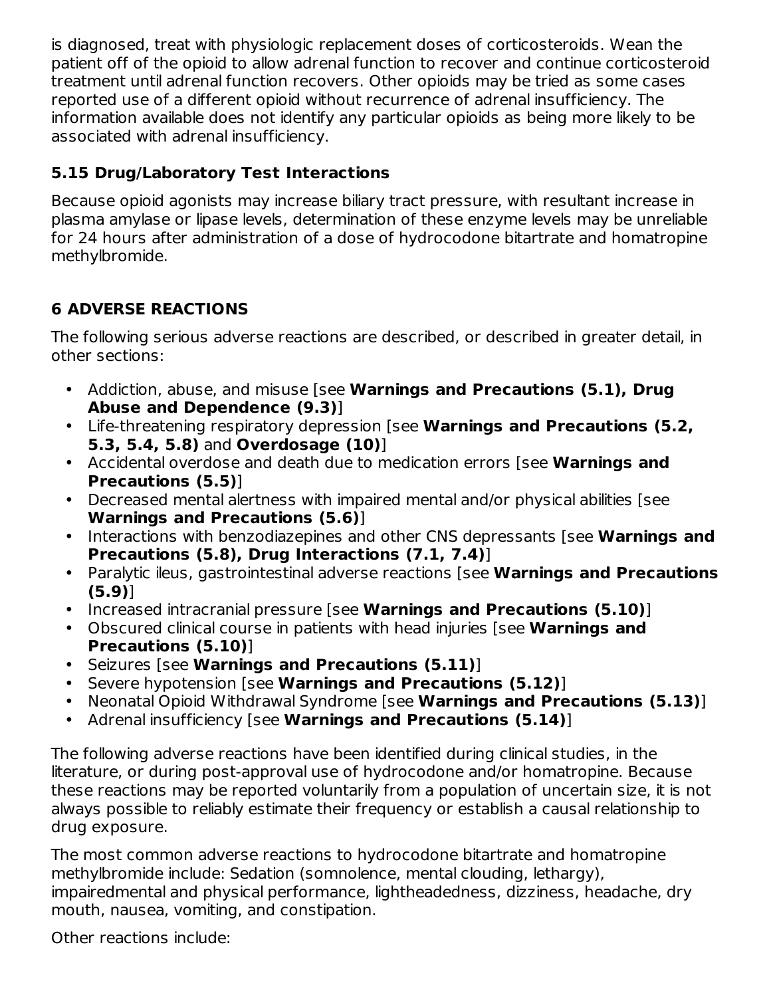is diagnosed, treat with physiologic replacement doses of corticosteroids. Wean the patient off of the opioid to allow adrenal function to recover and continue corticosteroid treatment until adrenal function recovers. Other opioids may be tried as some cases reported use of a different opioid without recurrence of adrenal insufficiency. The information available does not identify any particular opioids as being more likely to be associated with adrenal insufficiency.

## **5.15 Drug/Laboratory Test Interactions**

Because opioid agonists may increase biliary tract pressure, with resultant increase in plasma amylase or lipase levels, determination of these enzyme levels may be unreliable for 24 hours after administration of a dose of hydrocodone bitartrate and homatropine methylbromide.

# **6 ADVERSE REACTIONS**

The following serious adverse reactions are described, or described in greater detail, in other sections:

- Addiction, abuse, and misuse [see **Warnings and Precautions (5.1), Drug Abuse and Dependence (9.3)**]
- Life-threatening respiratory depression [see **Warnings and Precautions (5.2, 5.3, 5.4, 5.8)** and **Overdosage (10)**]
- Accidental overdose and death due to medication errors [see **Warnings and Precautions (5.5)**]
- Decreased mental alertness with impaired mental and/or physical abilities [see **Warnings and Precautions (5.6)**]
- Interactions with benzodiazepines and other CNS depressants [see **Warnings and Precautions (5.8), Drug Interactions (7.1, 7.4)**]
- Paralytic ileus, gastrointestinal adverse reactions [see **Warnings and Precautions (5.9)**]
- Increased intracranial pressure [see **Warnings and Precautions (5.10)**]
- Obscured clinical course in patients with head injuries [see **Warnings and Precautions (5.10)**]
- Seizures [see **Warnings and Precautions (5.11)**]
- Severe hypotension [see **Warnings and Precautions (5.12)**]
- Neonatal Opioid Withdrawal Syndrome [see **Warnings and Precautions (5.13)**]
- Adrenal insufficiency [see **Warnings and Precautions (5.14)**]

The following adverse reactions have been identified during clinical studies, in the literature, or during post-approval use of hydrocodone and/or homatropine. Because these reactions may be reported voluntarily from a population of uncertain size, it is not always possible to reliably estimate their frequency or establish a causal relationship to drug exposure.

The most common adverse reactions to hydrocodone bitartrate and homatropine methylbromide include: Sedation (somnolence, mental clouding, lethargy), impairedmental and physical performance, lightheadedness, dizziness, headache, dry mouth, nausea, vomiting, and constipation.

Other reactions include: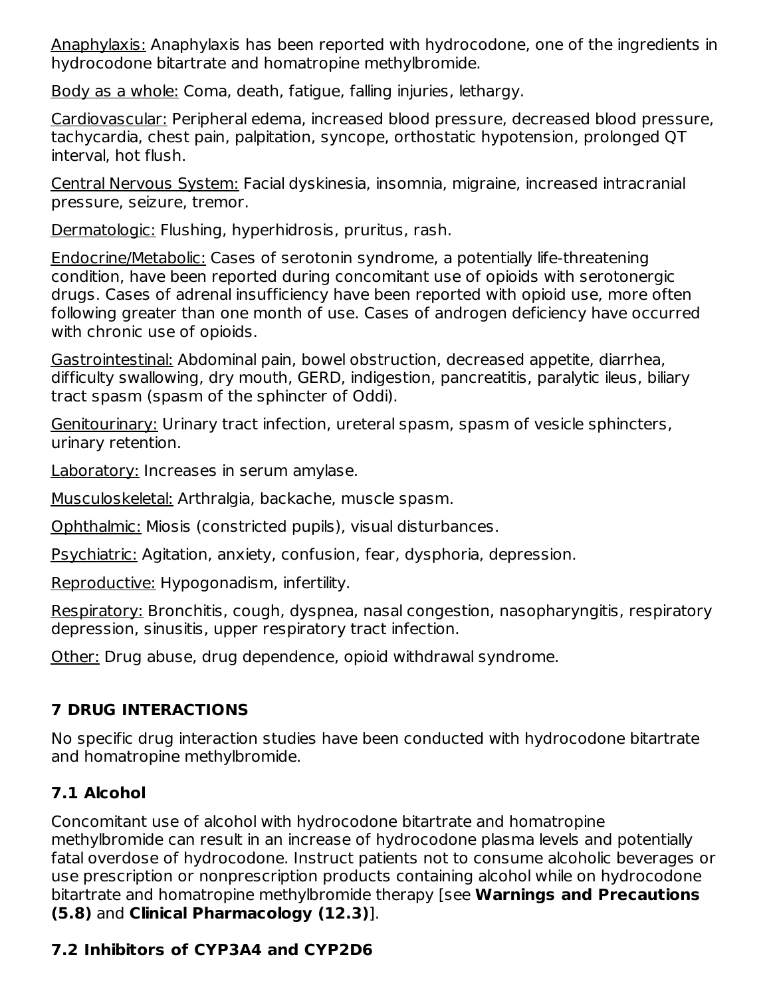Anaphylaxis: Anaphylaxis has been reported with hydrocodone, one of the ingredients in hydrocodone bitartrate and homatropine methylbromide.

Body as a whole: Coma, death, fatigue, falling injuries, lethargy.

Cardiovascular: Peripheral edema, increased blood pressure, decreased blood pressure, tachycardia, chest pain, palpitation, syncope, orthostatic hypotension, prolonged QT interval, hot flush.

Central Nervous System: Facial dyskinesia, insomnia, migraine, increased intracranial pressure, seizure, tremor.

Dermatologic: Flushing, hyperhidrosis, pruritus, rash.

Endocrine/Metabolic: Cases of serotonin syndrome, a potentially life-threatening condition, have been reported during concomitant use of opioids with serotonergic drugs. Cases of adrenal insufficiency have been reported with opioid use, more often following greater than one month of use. Cases of androgen deficiency have occurred with chronic use of opioids.

Gastrointestinal: Abdominal pain, bowel obstruction, decreased appetite, diarrhea, difficulty swallowing, dry mouth, GERD, indigestion, pancreatitis, paralytic ileus, biliary tract spasm (spasm of the sphincter of Oddi).

Genitourinary: Urinary tract infection, ureteral spasm, spasm of vesicle sphincters, urinary retention.

Laboratory: Increases in serum amylase.

Musculoskeletal: Arthralgia, backache, muscle spasm.

Ophthalmic: Miosis (constricted pupils), visual disturbances.

Psychiatric: Agitation, anxiety, confusion, fear, dysphoria, depression.

Reproductive: Hypogonadism, infertility.

Respiratory: Bronchitis, cough, dyspnea, nasal congestion, nasopharyngitis, respiratory depression, sinusitis, upper respiratory tract infection.

Other: Drug abuse, drug dependence, opioid withdrawal syndrome.

### **7 DRUG INTERACTIONS**

No specific drug interaction studies have been conducted with hydrocodone bitartrate and homatropine methylbromide.

# **7.1 Alcohol**

Concomitant use of alcohol with hydrocodone bitartrate and homatropine methylbromide can result in an increase of hydrocodone plasma levels and potentially fatal overdose of hydrocodone. Instruct patients not to consume alcoholic beverages or use prescription or nonprescription products containing alcohol while on hydrocodone bitartrate and homatropine methylbromide therapy [see **Warnings and Precautions (5.8)** and **Clinical Pharmacology (12.3)**].

# **7.2 Inhibitors of CYP3A4 and CYP2D6**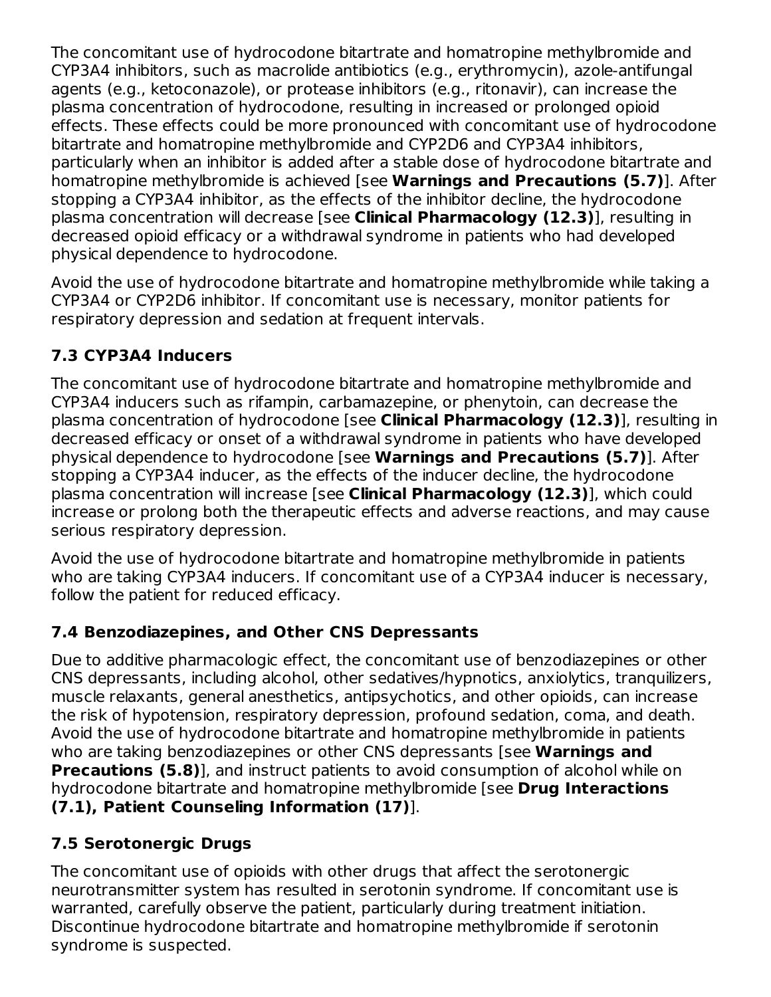The concomitant use of hydrocodone bitartrate and homatropine methylbromide and CYP3A4 inhibitors, such as macrolide antibiotics (e.g., erythromycin), azole-antifungal agents (e.g., ketoconazole), or protease inhibitors (e.g., ritonavir), can increase the plasma concentration of hydrocodone, resulting in increased or prolonged opioid effects. These effects could be more pronounced with concomitant use of hydrocodone bitartrate and homatropine methylbromide and CYP2D6 and CYP3A4 inhibitors, particularly when an inhibitor is added after a stable dose of hydrocodone bitartrate and homatropine methylbromide is achieved [see **Warnings and Precautions (5.7)**]. After stopping a CYP3A4 inhibitor, as the effects of the inhibitor decline, the hydrocodone plasma concentration will decrease [see **Clinical Pharmacology (12.3)**], resulting in decreased opioid efficacy or a withdrawal syndrome in patients who had developed physical dependence to hydrocodone.

Avoid the use of hydrocodone bitartrate and homatropine methylbromide while taking a CYP3A4 or CYP2D6 inhibitor. If concomitant use is necessary, monitor patients for respiratory depression and sedation at frequent intervals.

## **7.3 CYP3A4 Inducers**

The concomitant use of hydrocodone bitartrate and homatropine methylbromide and CYP3A4 inducers such as rifampin, carbamazepine, or phenytoin, can decrease the plasma concentration of hydrocodone [see **Clinical Pharmacology (12.3)**], resulting in decreased efficacy or onset of a withdrawal syndrome in patients who have developed physical dependence to hydrocodone [see **Warnings and Precautions (5.7)**]. After stopping a CYP3A4 inducer, as the effects of the inducer decline, the hydrocodone plasma concentration will increase [see **Clinical Pharmacology (12.3)**], which could increase or prolong both the therapeutic effects and adverse reactions, and may cause serious respiratory depression.

Avoid the use of hydrocodone bitartrate and homatropine methylbromide in patients who are taking CYP3A4 inducers. If concomitant use of a CYP3A4 inducer is necessary, follow the patient for reduced efficacy.

### **7.4 Benzodiazepines, and Other CNS Depressants**

Due to additive pharmacologic effect, the concomitant use of benzodiazepines or other CNS depressants, including alcohol, other sedatives/hypnotics, anxiolytics, tranquilizers, muscle relaxants, general anesthetics, antipsychotics, and other opioids, can increase the risk of hypotension, respiratory depression, profound sedation, coma, and death. Avoid the use of hydrocodone bitartrate and homatropine methylbromide in patients who are taking benzodiazepines or other CNS depressants [see **Warnings and Precautions (5.8)**], and instruct patients to avoid consumption of alcohol while on hydrocodone bitartrate and homatropine methylbromide [see **Drug Interactions (7.1), Patient Counseling Information (17)**].

# **7.5 Serotonergic Drugs**

The concomitant use of opioids with other drugs that affect the serotonergic neurotransmitter system has resulted in serotonin syndrome. If concomitant use is warranted, carefully observe the patient, particularly during treatment initiation. Discontinue hydrocodone bitartrate and homatropine methylbromide if serotonin syndrome is suspected.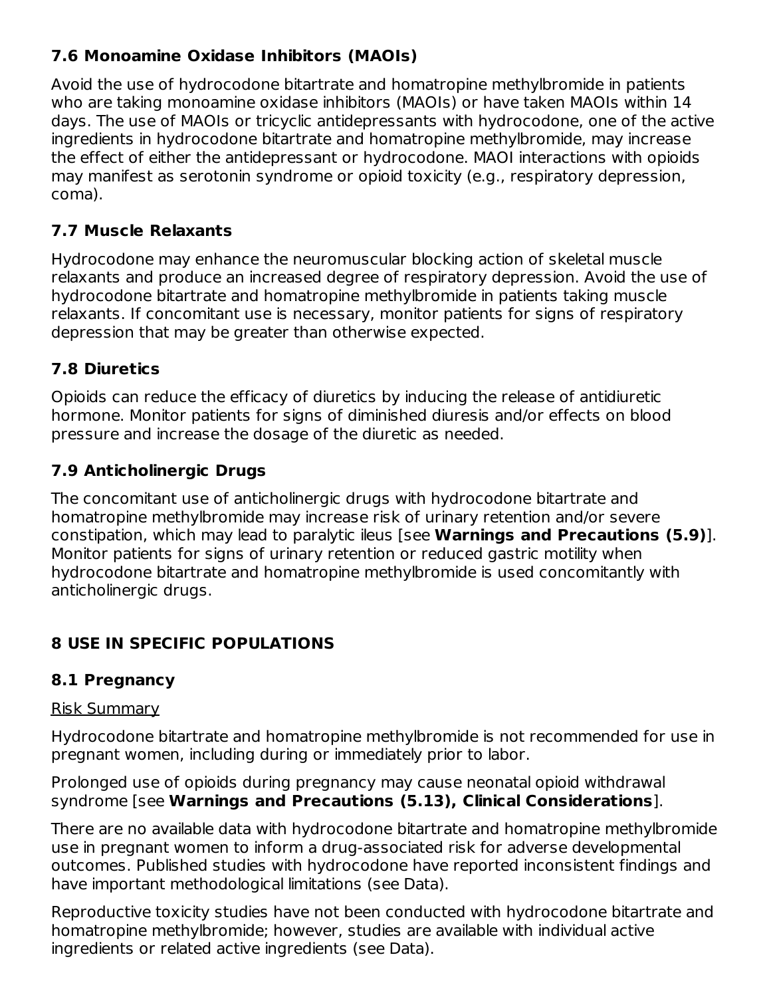### **7.6 Monoamine Oxidase Inhibitors (MAOIs)**

Avoid the use of hydrocodone bitartrate and homatropine methylbromide in patients who are taking monoamine oxidase inhibitors (MAOIs) or have taken MAOIs within 14 days. The use of MAOIs or tricyclic antidepressants with hydrocodone, one of the active ingredients in hydrocodone bitartrate and homatropine methylbromide, may increase the effect of either the antidepressant or hydrocodone. MAOI interactions with opioids may manifest as serotonin syndrome or opioid toxicity (e.g., respiratory depression, coma).

### **7.7 Muscle Relaxants**

Hydrocodone may enhance the neuromuscular blocking action of skeletal muscle relaxants and produce an increased degree of respiratory depression. Avoid the use of hydrocodone bitartrate and homatropine methylbromide in patients taking muscle relaxants. If concomitant use is necessary, monitor patients for signs of respiratory depression that may be greater than otherwise expected.

### **7.8 Diuretics**

Opioids can reduce the efficacy of diuretics by inducing the release of antidiuretic hormone. Monitor patients for signs of diminished diuresis and/or effects on blood pressure and increase the dosage of the diuretic as needed.

### **7.9 Anticholinergic Drugs**

The concomitant use of anticholinergic drugs with hydrocodone bitartrate and homatropine methylbromide may increase risk of urinary retention and/or severe constipation, which may lead to paralytic ileus [see **Warnings and Precautions (5.9)**]. Monitor patients for signs of urinary retention or reduced gastric motility when hydrocodone bitartrate and homatropine methylbromide is used concomitantly with anticholinergic drugs.

### **8 USE IN SPECIFIC POPULATIONS**

### **8.1 Pregnancy**

### Risk Summary

Hydrocodone bitartrate and homatropine methylbromide is not recommended for use in pregnant women, including during or immediately prior to labor.

Prolonged use of opioids during pregnancy may cause neonatal opioid withdrawal syndrome [see **Warnings and Precautions (5.13), Clinical Considerations**].

There are no available data with hydrocodone bitartrate and homatropine methylbromide use in pregnant women to inform a drug-associated risk for adverse developmental outcomes. Published studies with hydrocodone have reported inconsistent findings and have important methodological limitations (see Data).

Reproductive toxicity studies have not been conducted with hydrocodone bitartrate and homatropine methylbromide; however, studies are available with individual active ingredients or related active ingredients (see Data).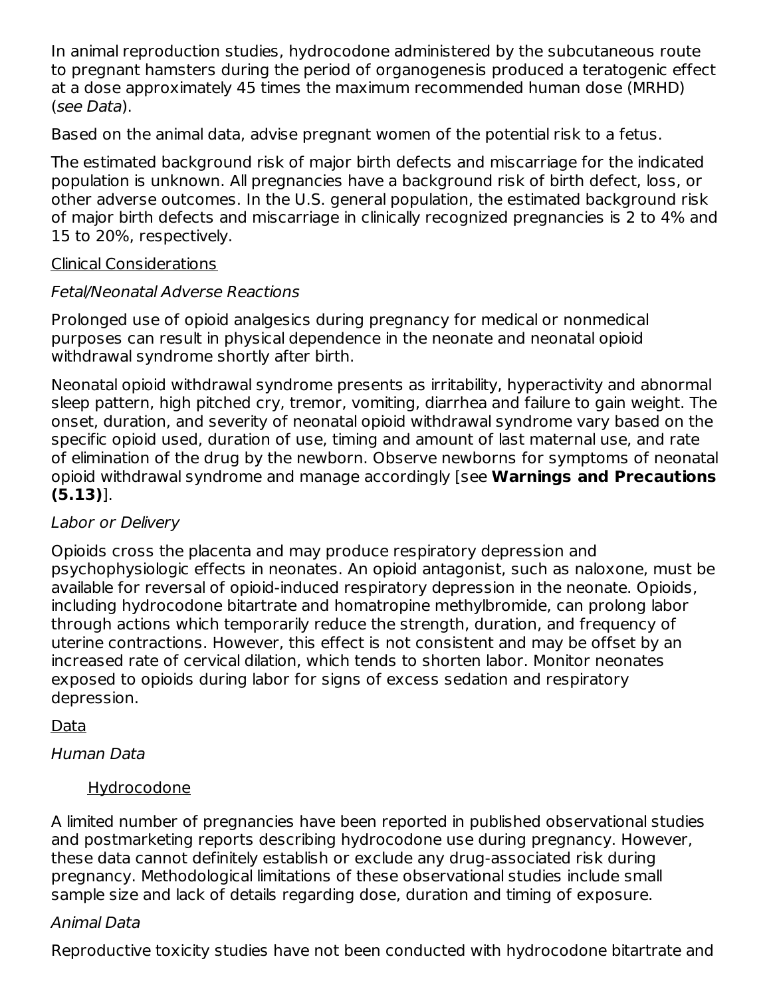In animal reproduction studies, hydrocodone administered by the subcutaneous route to pregnant hamsters during the period of organogenesis produced a teratogenic effect at a dose approximately 45 times the maximum recommended human dose (MRHD) (see Data).

Based on the animal data, advise pregnant women of the potential risk to a fetus.

The estimated background risk of major birth defects and miscarriage for the indicated population is unknown. All pregnancies have a background risk of birth defect, loss, or other adverse outcomes. In the U.S. general population, the estimated background risk of major birth defects and miscarriage in clinically recognized pregnancies is 2 to 4% and 15 to 20%, respectively.

#### Clinical Considerations

### Fetal/Neonatal Adverse Reactions

Prolonged use of opioid analgesics during pregnancy for medical or nonmedical purposes can result in physical dependence in the neonate and neonatal opioid withdrawal syndrome shortly after birth.

Neonatal opioid withdrawal syndrome presents as irritability, hyperactivity and abnormal sleep pattern, high pitched cry, tremor, vomiting, diarrhea and failure to gain weight. The onset, duration, and severity of neonatal opioid withdrawal syndrome vary based on the specific opioid used, duration of use, timing and amount of last maternal use, and rate of elimination of the drug by the newborn. Observe newborns for symptoms of neonatal opioid withdrawal syndrome and manage accordingly [see **Warnings and Precautions (5.13)**].

### Labor or Delivery

Opioids cross the placenta and may produce respiratory depression and psychophysiologic effects in neonates. An opioid antagonist, such as naloxone, must be available for reversal of opioid-induced respiratory depression in the neonate. Opioids, including hydrocodone bitartrate and homatropine methylbromide, can prolong labor through actions which temporarily reduce the strength, duration, and frequency of uterine contractions. However, this effect is not consistent and may be offset by an increased rate of cervical dilation, which tends to shorten labor. Monitor neonates exposed to opioids during labor for signs of excess sedation and respiratory depression.

### **Data**

Human Data

### Hydrocodone

A limited number of pregnancies have been reported in published observational studies and postmarketing reports describing hydrocodone use during pregnancy. However, these data cannot definitely establish or exclude any drug-associated risk during pregnancy. Methodological limitations of these observational studies include small sample size and lack of details regarding dose, duration and timing of exposure.

### Animal Data

Reproductive toxicity studies have not been conducted with hydrocodone bitartrate and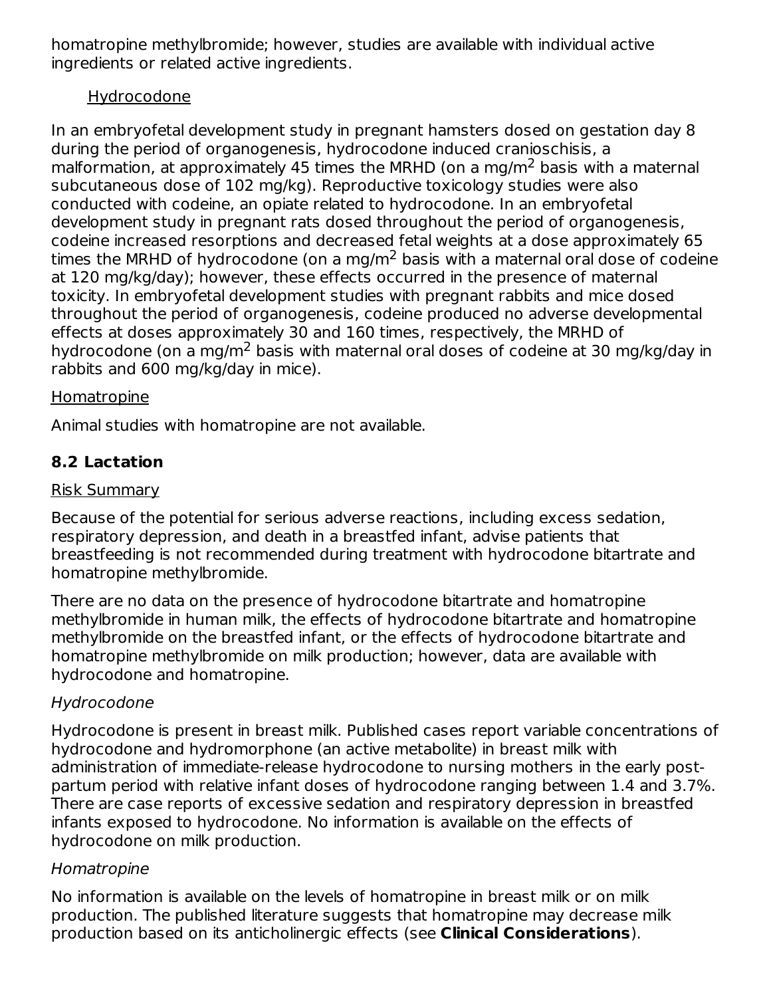homatropine methylbromide; however, studies are available with individual active ingredients or related active ingredients.

### Hydrocodone

In an embryofetal development study in pregnant hamsters dosed on gestation day 8 during the period of organogenesis, hydrocodone induced cranioschisis, a malformation, at approximately 45 times the MRHD (on a mg/m<sup>2</sup> basis with a maternal subcutaneous dose of 102 mg/kg). Reproductive toxicology studies were also conducted with codeine, an opiate related to hydrocodone. In an embryofetal development study in pregnant rats dosed throughout the period of organogenesis, codeine increased resorptions and decreased fetal weights at a dose approximately 65 times the MRHD of hydrocodone (on a mg/m $^2$  basis with a maternal oral dose of codeine at 120 mg/kg/day); however, these effects occurred in the presence of maternal toxicity. In embryofetal development studies with pregnant rabbits and mice dosed throughout the period of organogenesis, codeine produced no adverse developmental effects at doses approximately 30 and 160 times, respectively, the MRHD of hydrocodone (on a mg/m<sup>2</sup> basis with maternal oral doses of codeine at 30 mg/kg/day in rabbits and 600 mg/kg/day in mice).

#### **Homatropine**

Animal studies with homatropine are not available.

### **8.2 Lactation**

#### Risk Summary

Because of the potential for serious adverse reactions, including excess sedation, respiratory depression, and death in a breastfed infant, advise patients that breastfeeding is not recommended during treatment with hydrocodone bitartrate and homatropine methylbromide.

There are no data on the presence of hydrocodone bitartrate and homatropine methylbromide in human milk, the effects of hydrocodone bitartrate and homatropine methylbromide on the breastfed infant, or the effects of hydrocodone bitartrate and homatropine methylbromide on milk production; however, data are available with hydrocodone and homatropine.

#### Hydrocodone

Hydrocodone is present in breast milk. Published cases report variable concentrations of hydrocodone and hydromorphone (an active metabolite) in breast milk with administration of immediate-release hydrocodone to nursing mothers in the early postpartum period with relative infant doses of hydrocodone ranging between 1.4 and 3.7%. There are case reports of excessive sedation and respiratory depression in breastfed infants exposed to hydrocodone. No information is available on the effects of hydrocodone on milk production.

#### Homatropine

No information is available on the levels of homatropine in breast milk or on milk production. The published literature suggests that homatropine may decrease milk production based on its anticholinergic effects (see **Clinical Considerations**).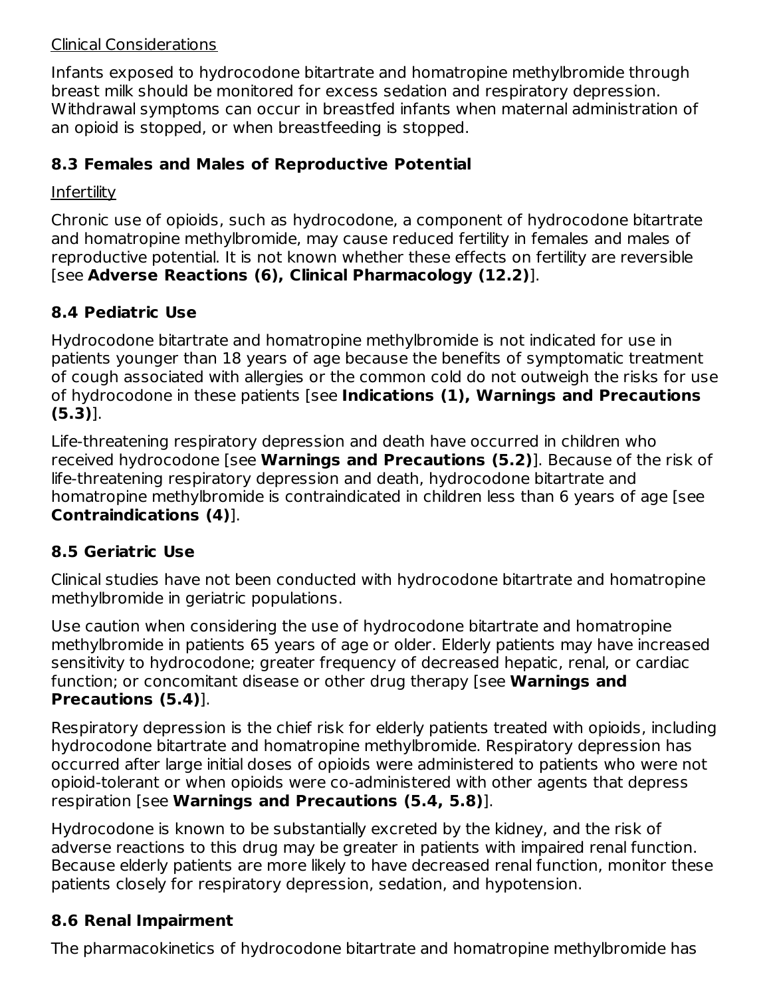#### Clinical Considerations

Infants exposed to hydrocodone bitartrate and homatropine methylbromide through breast milk should be monitored for excess sedation and respiratory depression. Withdrawal symptoms can occur in breastfed infants when maternal administration of an opioid is stopped, or when breastfeeding is stopped.

### **8.3 Females and Males of Reproductive Potential**

### **Infertility**

Chronic use of opioids, such as hydrocodone, a component of hydrocodone bitartrate and homatropine methylbromide, may cause reduced fertility in females and males of reproductive potential. It is not known whether these effects on fertility are reversible [see **Adverse Reactions (6), Clinical Pharmacology (12.2)**].

## **8.4 Pediatric Use**

Hydrocodone bitartrate and homatropine methylbromide is not indicated for use in patients younger than 18 years of age because the benefits of symptomatic treatment of cough associated with allergies or the common cold do not outweigh the risks for use of hydrocodone in these patients [see **Indications (1), Warnings and Precautions (5.3)**].

Life-threatening respiratory depression and death have occurred in children who received hydrocodone [see **Warnings and Precautions (5.2)**]. Because of the risk of life-threatening respiratory depression and death, hydrocodone bitartrate and homatropine methylbromide is contraindicated in children less than 6 years of age [see **Contraindications (4)**].

### **8.5 Geriatric Use**

Clinical studies have not been conducted with hydrocodone bitartrate and homatropine methylbromide in geriatric populations.

Use caution when considering the use of hydrocodone bitartrate and homatropine methylbromide in patients 65 years of age or older. Elderly patients may have increased sensitivity to hydrocodone; greater frequency of decreased hepatic, renal, or cardiac function; or concomitant disease or other drug therapy [see **Warnings and Precautions (5.4)**].

Respiratory depression is the chief risk for elderly patients treated with opioids, including hydrocodone bitartrate and homatropine methylbromide. Respiratory depression has occurred after large initial doses of opioids were administered to patients who were not opioid-tolerant or when opioids were co-administered with other agents that depress respiration [see **Warnings and Precautions (5.4, 5.8)**].

Hydrocodone is known to be substantially excreted by the kidney, and the risk of adverse reactions to this drug may be greater in patients with impaired renal function. Because elderly patients are more likely to have decreased renal function, monitor these patients closely for respiratory depression, sedation, and hypotension.

### **8.6 Renal Impairment**

The pharmacokinetics of hydrocodone bitartrate and homatropine methylbromide has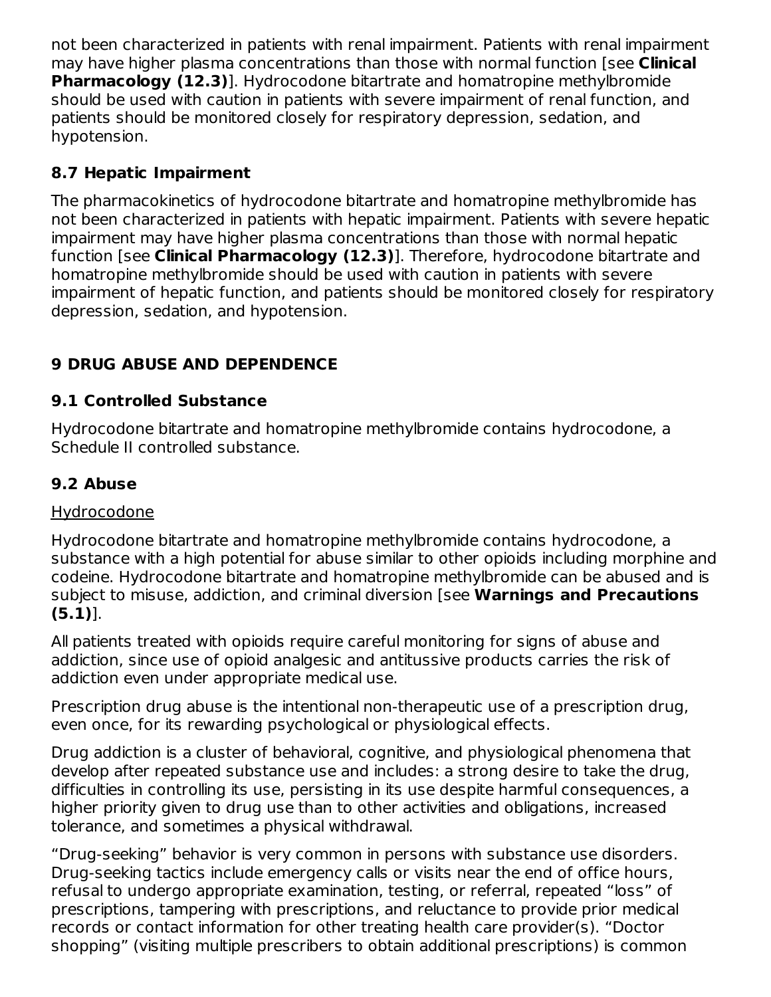not been characterized in patients with renal impairment. Patients with renal impairment may have higher plasma concentrations than those with normal function [see **Clinical Pharmacology (12.3)**]. Hydrocodone bitartrate and homatropine methylbromide should be used with caution in patients with severe impairment of renal function, and patients should be monitored closely for respiratory depression, sedation, and hypotension.

### **8.7 Hepatic Impairment**

The pharmacokinetics of hydrocodone bitartrate and homatropine methylbromide has not been characterized in patients with hepatic impairment. Patients with severe hepatic impairment may have higher plasma concentrations than those with normal hepatic function [see **Clinical Pharmacology (12.3)**]. Therefore, hydrocodone bitartrate and homatropine methylbromide should be used with caution in patients with severe impairment of hepatic function, and patients should be monitored closely for respiratory depression, sedation, and hypotension.

### **9 DRUG ABUSE AND DEPENDENCE**

### **9.1 Controlled Substance**

Hydrocodone bitartrate and homatropine methylbromide contains hydrocodone, a Schedule II controlled substance.

### **9.2 Abuse**

#### Hydrocodone

Hydrocodone bitartrate and homatropine methylbromide contains hydrocodone, a substance with a high potential for abuse similar to other opioids including morphine and codeine. Hydrocodone bitartrate and homatropine methylbromide can be abused and is subject to misuse, addiction, and criminal diversion [see **Warnings and Precautions (5.1)**].

All patients treated with opioids require careful monitoring for signs of abuse and addiction, since use of opioid analgesic and antitussive products carries the risk of addiction even under appropriate medical use.

Prescription drug abuse is the intentional non-therapeutic use of a prescription drug, even once, for its rewarding psychological or physiological effects.

Drug addiction is a cluster of behavioral, cognitive, and physiological phenomena that develop after repeated substance use and includes: a strong desire to take the drug, difficulties in controlling its use, persisting in its use despite harmful consequences, a higher priority given to drug use than to other activities and obligations, increased tolerance, and sometimes a physical withdrawal.

"Drug-seeking" behavior is very common in persons with substance use disorders. Drug-seeking tactics include emergency calls or visits near the end of office hours, refusal to undergo appropriate examination, testing, or referral, repeated "loss" of prescriptions, tampering with prescriptions, and reluctance to provide prior medical records or contact information for other treating health care provider(s). "Doctor shopping" (visiting multiple prescribers to obtain additional prescriptions) is common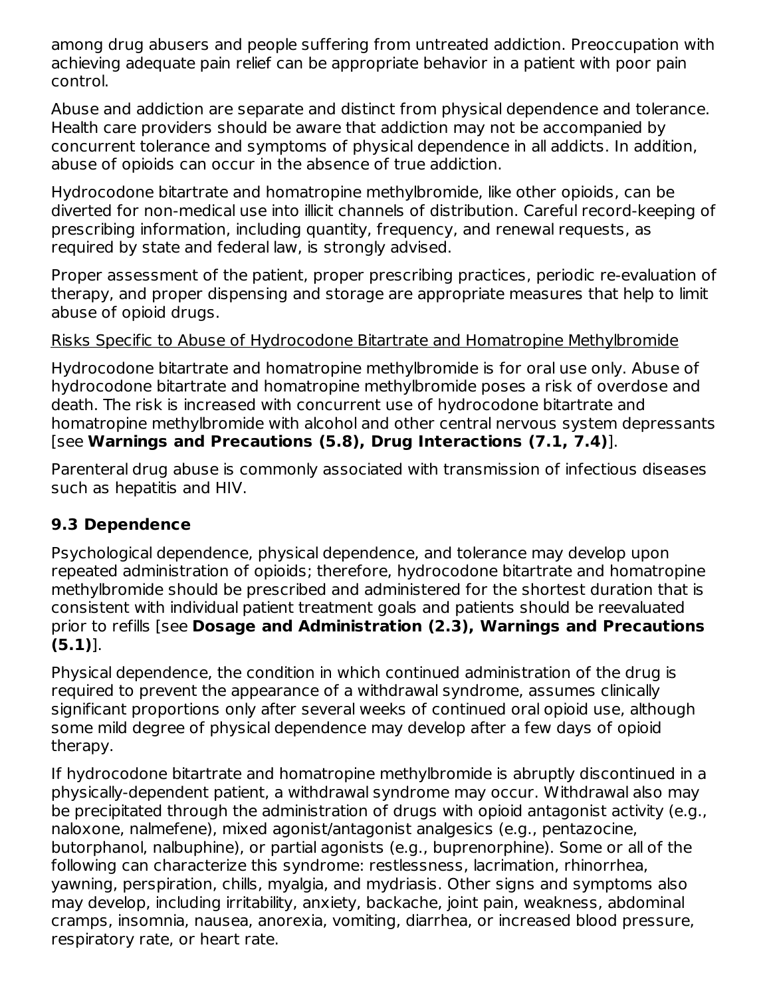among drug abusers and people suffering from untreated addiction. Preoccupation with achieving adequate pain relief can be appropriate behavior in a patient with poor pain control.

Abuse and addiction are separate and distinct from physical dependence and tolerance. Health care providers should be aware that addiction may not be accompanied by concurrent tolerance and symptoms of physical dependence in all addicts. In addition, abuse of opioids can occur in the absence of true addiction.

Hydrocodone bitartrate and homatropine methylbromide, like other opioids, can be diverted for non-medical use into illicit channels of distribution. Careful record-keeping of prescribing information, including quantity, frequency, and renewal requests, as required by state and federal law, is strongly advised.

Proper assessment of the patient, proper prescribing practices, periodic re-evaluation of therapy, and proper dispensing and storage are appropriate measures that help to limit abuse of opioid drugs.

#### Risks Specific to Abuse of Hydrocodone Bitartrate and Homatropine Methylbromide

Hydrocodone bitartrate and homatropine methylbromide is for oral use only. Abuse of hydrocodone bitartrate and homatropine methylbromide poses a risk of overdose and death. The risk is increased with concurrent use of hydrocodone bitartrate and homatropine methylbromide with alcohol and other central nervous system depressants [see **Warnings and Precautions (5.8), Drug Interactions (7.1, 7.4)**].

Parenteral drug abuse is commonly associated with transmission of infectious diseases such as hepatitis and HIV.

### **9.3 Dependence**

Psychological dependence, physical dependence, and tolerance may develop upon repeated administration of opioids; therefore, hydrocodone bitartrate and homatropine methylbromide should be prescribed and administered for the shortest duration that is consistent with individual patient treatment goals and patients should be reevaluated prior to refills [see **Dosage and Administration (2.3), Warnings and Precautions (5.1)**].

Physical dependence, the condition in which continued administration of the drug is required to prevent the appearance of a withdrawal syndrome, assumes clinically significant proportions only after several weeks of continued oral opioid use, although some mild degree of physical dependence may develop after a few days of opioid therapy.

If hydrocodone bitartrate and homatropine methylbromide is abruptly discontinued in a physically-dependent patient, a withdrawal syndrome may occur. Withdrawal also may be precipitated through the administration of drugs with opioid antagonist activity (e.g., naloxone, nalmefene), mixed agonist/antagonist analgesics (e.g., pentazocine, butorphanol, nalbuphine), or partial agonists (e.g., buprenorphine). Some or all of the following can characterize this syndrome: restlessness, lacrimation, rhinorrhea, yawning, perspiration, chills, myalgia, and mydriasis. Other signs and symptoms also may develop, including irritability, anxiety, backache, joint pain, weakness, abdominal cramps, insomnia, nausea, anorexia, vomiting, diarrhea, or increased blood pressure, respiratory rate, or heart rate.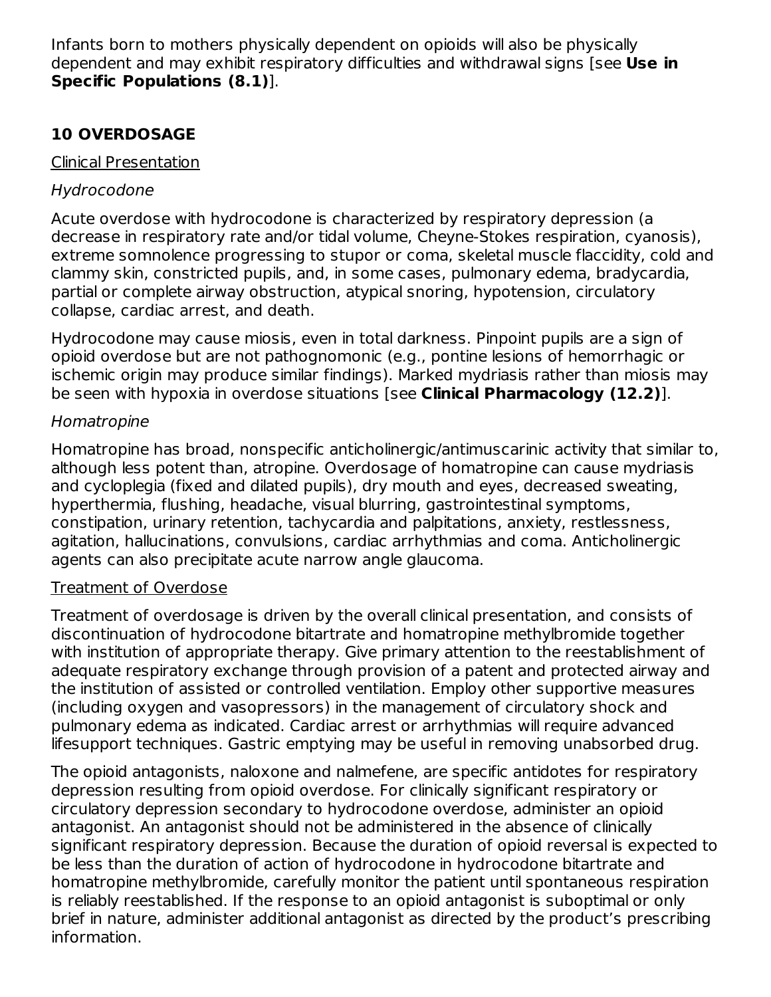Infants born to mothers physically dependent on opioids will also be physically dependent and may exhibit respiratory difficulties and withdrawal signs [see **Use in Specific Populations (8.1)**].

### **10 OVERDOSAGE**

#### Clinical Presentation

### Hydrocodone

Acute overdose with hydrocodone is characterized by respiratory depression (a decrease in respiratory rate and/or tidal volume, Cheyne-Stokes respiration, cyanosis), extreme somnolence progressing to stupor or coma, skeletal muscle flaccidity, cold and clammy skin, constricted pupils, and, in some cases, pulmonary edema, bradycardia, partial or complete airway obstruction, atypical snoring, hypotension, circulatory collapse, cardiac arrest, and death.

Hydrocodone may cause miosis, even in total darkness. Pinpoint pupils are a sign of opioid overdose but are not pathognomonic (e.g., pontine lesions of hemorrhagic or ischemic origin may produce similar findings). Marked mydriasis rather than miosis may be seen with hypoxia in overdose situations [see **Clinical Pharmacology (12.2)**].

### Homatropine

Homatropine has broad, nonspecific anticholinergic/antimuscarinic activity that similar to, although less potent than, atropine. Overdosage of homatropine can cause mydriasis and cycloplegia (fixed and dilated pupils), dry mouth and eyes, decreased sweating, hyperthermia, flushing, headache, visual blurring, gastrointestinal symptoms, constipation, urinary retention, tachycardia and palpitations, anxiety, restlessness, agitation, hallucinations, convulsions, cardiac arrhythmias and coma. Anticholinergic agents can also precipitate acute narrow angle glaucoma.

### Treatment of Overdose

Treatment of overdosage is driven by the overall clinical presentation, and consists of discontinuation of hydrocodone bitartrate and homatropine methylbromide together with institution of appropriate therapy. Give primary attention to the reestablishment of adequate respiratory exchange through provision of a patent and protected airway and the institution of assisted or controlled ventilation. Employ other supportive measures (including oxygen and vasopressors) in the management of circulatory shock and pulmonary edema as indicated. Cardiac arrest or arrhythmias will require advanced lifesupport techniques. Gastric emptying may be useful in removing unabsorbed drug.

The opioid antagonists, naloxone and nalmefene, are specific antidotes for respiratory depression resulting from opioid overdose. For clinically significant respiratory or circulatory depression secondary to hydrocodone overdose, administer an opioid antagonist. An antagonist should not be administered in the absence of clinically significant respiratory depression. Because the duration of opioid reversal is expected to be less than the duration of action of hydrocodone in hydrocodone bitartrate and homatropine methylbromide, carefully monitor the patient until spontaneous respiration is reliably reestablished. If the response to an opioid antagonist is suboptimal or only brief in nature, administer additional antagonist as directed by the product's prescribing information.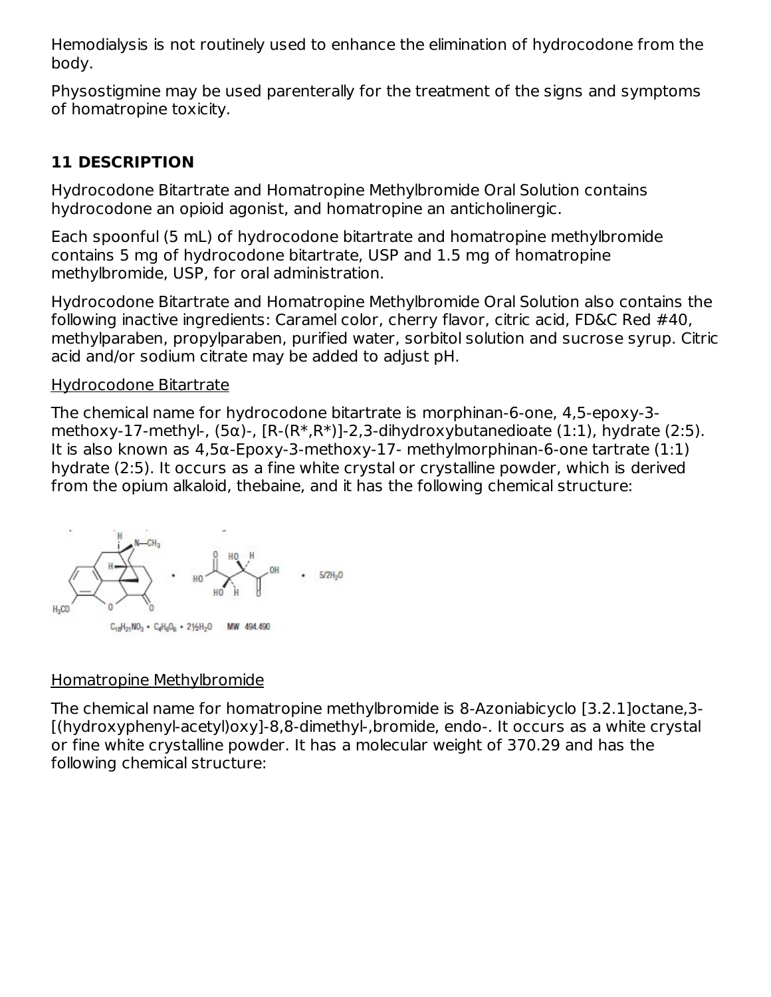Hemodialysis is not routinely used to enhance the elimination of hydrocodone from the body.

Physostigmine may be used parenterally for the treatment of the signs and symptoms of homatropine toxicity.

### **11 DESCRIPTION**

Hydrocodone Bitartrate and Homatropine Methylbromide Oral Solution contains hydrocodone an opioid agonist, and homatropine an anticholinergic.

Each spoonful (5 mL) of hydrocodone bitartrate and homatropine methylbromide contains 5 mg of hydrocodone bitartrate, USP and 1.5 mg of homatropine methylbromide, USP, for oral administration.

Hydrocodone Bitartrate and Homatropine Methylbromide Oral Solution also contains the following inactive ingredients: Caramel color, cherry flavor, citric acid, FD&C Red #40, methylparaben, propylparaben, purified water, sorbitol solution and sucrose syrup. Citric acid and/or sodium citrate may be added to adjust pH.

#### Hydrocodone Bitartrate

The chemical name for hydrocodone bitartrate is morphinan-6-one, 4,5-epoxy-3 methoxy-17-methyl-,  $(5\alpha)$ -,  $[R-(R^*,R^*)]$ -2,3-dihydroxybutanedioate  $(1:1)$ , hydrate  $(2:5)$ . It is also known as 4,5α-Epoxy-3-methoxy-17- methylmorphinan-6-one tartrate (1:1) hydrate (2:5). It occurs as a fine white crystal or crystalline powder, which is derived from the opium alkaloid, thebaine, and it has the following chemical structure:



### Homatropine Methylbromide

The chemical name for homatropine methylbromide is 8-Azoniabicyclo [3.2.1]octane,3- [(hydroxyphenyl-acetyl)oxy]-8,8-dimethyl-,bromide, endo-. It occurs as a white crystal or fine white crystalline powder. It has a molecular weight of 370.29 and has the following chemical structure: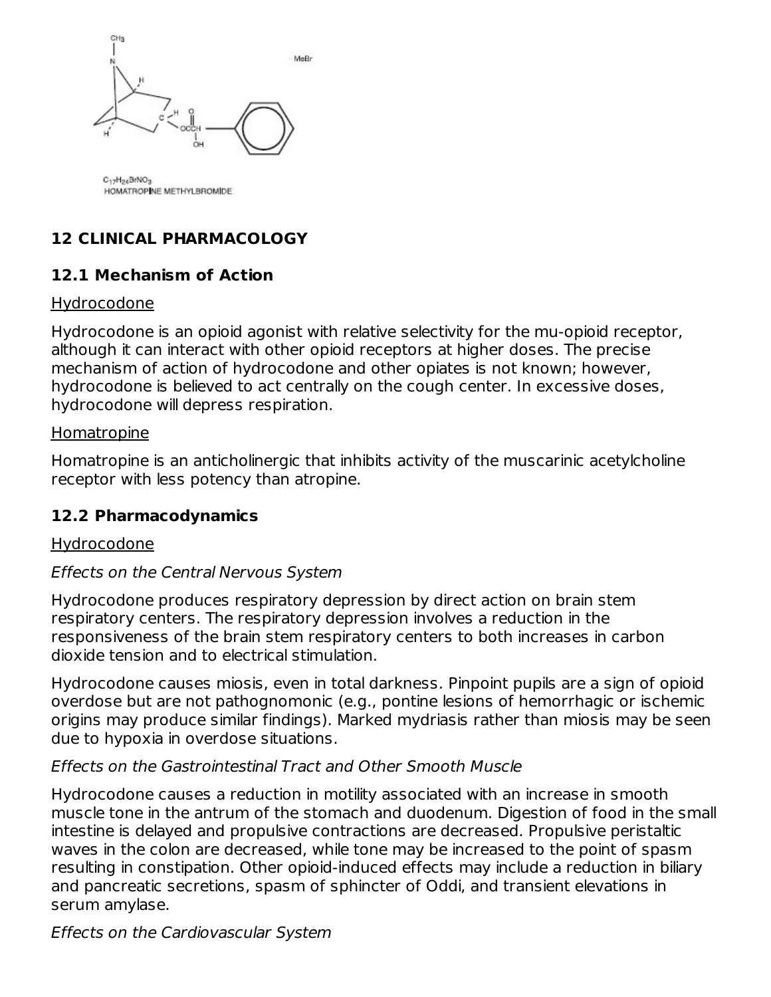

C17H24BrNO3 HOMATROPINE METHYLBROMIDE

# **12 CLINICAL PHARMACOLOGY**

### **12.1 Mechanism of Action**

#### Hydrocodone

Hydrocodone is an opioid agonist with relative selectivity for the mu-opioid receptor, although it can interact with other opioid receptors at higher doses. The precise mechanism of action of hydrocodone and other opiates is not known; however, hydrocodone is believed to act centrally on the cough center. In excessive doses, hydrocodone will depress respiration.

#### Homatropine

Homatropine is an anticholinergic that inhibits activity of the muscarinic acetylcholine receptor with less potency than atropine.

#### **12.2 Pharmacodynamics**

#### Hydrocodone

#### Effects on the Central Nervous System

Hydrocodone produces respiratory depression by direct action on brain stem respiratory centers. The respiratory depression involves a reduction in the responsiveness of the brain stem respiratory centers to both increases in carbon dioxide tension and to electrical stimulation.

Hydrocodone causes miosis, even in total darkness. Pinpoint pupils are a sign of opioid overdose but are not pathognomonic (e.g., pontine lesions of hemorrhagic or ischemic origins may produce similar findings). Marked mydriasis rather than miosis may be seen due to hypoxia in overdose situations.

#### Effects on the Gastrointestinal Tract and Other Smooth Muscle

Hydrocodone causes a reduction in motility associated with an increase in smooth muscle tone in the antrum of the stomach and duodenum. Digestion of food in the small intestine is delayed and propulsive contractions are decreased. Propulsive peristaltic waves in the colon are decreased, while tone may be increased to the point of spasm resulting in constipation. Other opioid-induced effects may include a reduction in biliary and pancreatic secretions, spasm of sphincter of Oddi, and transient elevations in serum amylase.

### Effects on the Cardiovascular System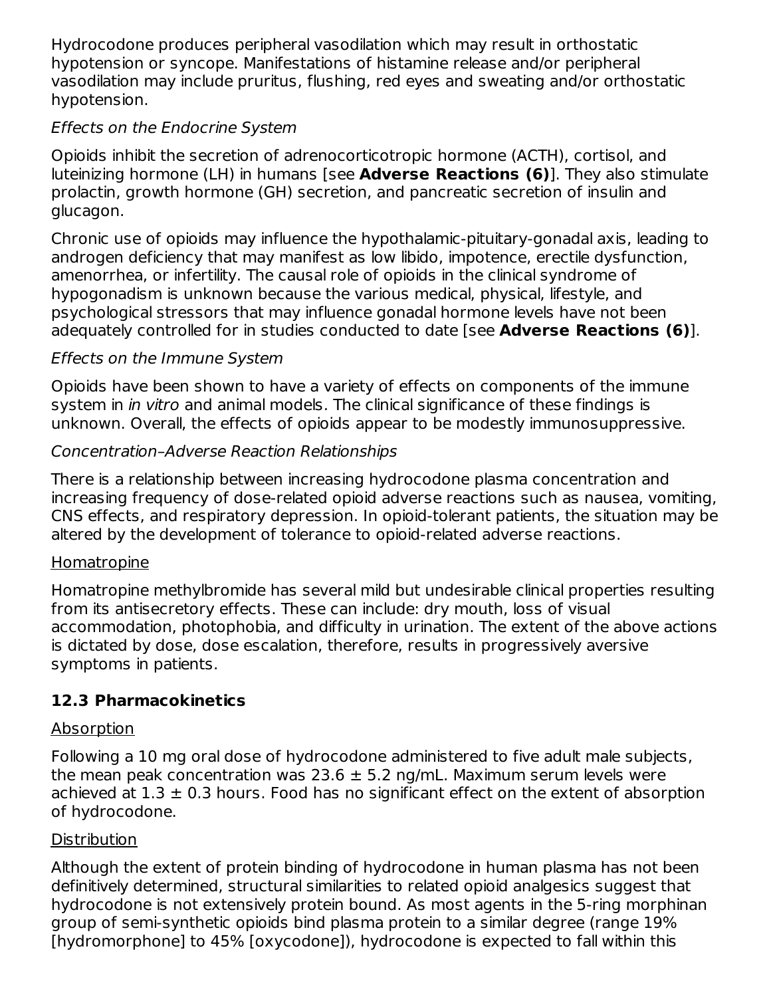Hydrocodone produces peripheral vasodilation which may result in orthostatic hypotension or syncope. Manifestations of histamine release and/or peripheral vasodilation may include pruritus, flushing, red eyes and sweating and/or orthostatic hypotension.

### Effects on the Endocrine System

Opioids inhibit the secretion of adrenocorticotropic hormone (ACTH), cortisol, and luteinizing hormone (LH) in humans [see **Adverse Reactions (6)**]. They also stimulate prolactin, growth hormone (GH) secretion, and pancreatic secretion of insulin and glucagon.

Chronic use of opioids may influence the hypothalamic-pituitary-gonadal axis, leading to androgen deficiency that may manifest as low libido, impotence, erectile dysfunction, amenorrhea, or infertility. The causal role of opioids in the clinical syndrome of hypogonadism is unknown because the various medical, physical, lifestyle, and psychological stressors that may influence gonadal hormone levels have not been adequately controlled for in studies conducted to date [see **Adverse Reactions (6)**].

#### Effects on the Immune System

Opioids have been shown to have a variety of effects on components of the immune system in *in vitro* and animal models. The clinical significance of these findings is unknown. Overall, the effects of opioids appear to be modestly immunosuppressive.

#### Concentration–Adverse Reaction Relationships

There is a relationship between increasing hydrocodone plasma concentration and increasing frequency of dose-related opioid adverse reactions such as nausea, vomiting, CNS effects, and respiratory depression. In opioid-tolerant patients, the situation may be altered by the development of tolerance to opioid-related adverse reactions.

#### **Homatropine**

Homatropine methylbromide has several mild but undesirable clinical properties resulting from its antisecretory effects. These can include: dry mouth, loss of visual accommodation, photophobia, and difficulty in urination. The extent of the above actions is dictated by dose, dose escalation, therefore, results in progressively aversive symptoms in patients.

### **12.3 Pharmacokinetics**

### Absorption

Following a 10 mg oral dose of hydrocodone administered to five adult male subjects, the mean peak concentration was  $23.6 \pm 5.2$  ng/mL. Maximum serum levels were achieved at  $1.3 \pm 0.3$  hours. Food has no significant effect on the extent of absorption of hydrocodone.

### **Distribution**

Although the extent of protein binding of hydrocodone in human plasma has not been definitively determined, structural similarities to related opioid analgesics suggest that hydrocodone is not extensively protein bound. As most agents in the 5-ring morphinan group of semi-synthetic opioids bind plasma protein to a similar degree (range 19% [hydromorphone] to 45% [oxycodone]), hydrocodone is expected to fall within this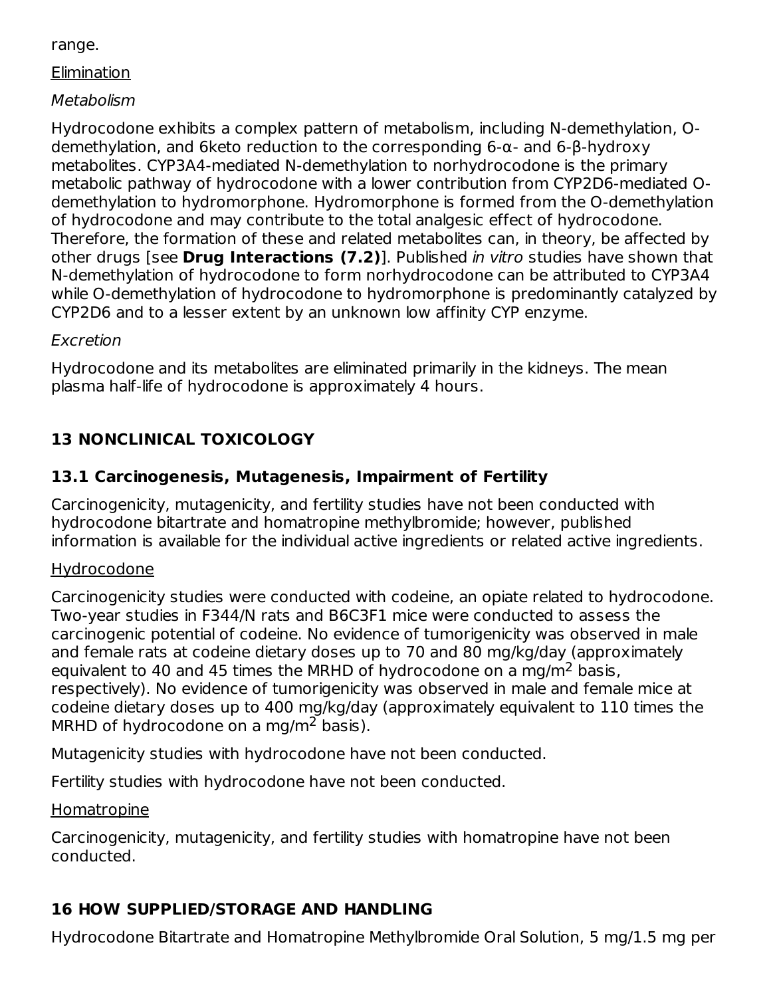range.

**Elimination** 

### Metabolism

Hydrocodone exhibits a complex pattern of metabolism, including N-demethylation, Odemethylation, and 6keto reduction to the corresponding 6-α- and 6-β-hydroxy metabolites. CYP3A4-mediated N-demethylation to norhydrocodone is the primary metabolic pathway of hydrocodone with a lower contribution from CYP2D6-mediated Odemethylation to hydromorphone. Hydromorphone is formed from the O-demethylation of hydrocodone and may contribute to the total analgesic effect of hydrocodone. Therefore, the formation of these and related metabolites can, in theory, be affected by other drugs [see **Drug Interactions (7.2)**]. Published in vitro studies have shown that N-demethylation of hydrocodone to form norhydrocodone can be attributed to CYP3A4 while O-demethylation of hydrocodone to hydromorphone is predominantly catalyzed by CYP2D6 and to a lesser extent by an unknown low affinity CYP enzyme.

### Excretion

Hydrocodone and its metabolites are eliminated primarily in the kidneys. The mean plasma half-life of hydrocodone is approximately 4 hours.

# **13 NONCLINICAL TOXICOLOGY**

## **13.1 Carcinogenesis, Mutagenesis, Impairment of Fertility**

Carcinogenicity, mutagenicity, and fertility studies have not been conducted with hydrocodone bitartrate and homatropine methylbromide; however, published information is available for the individual active ingredients or related active ingredients.

### Hydrocodone

Carcinogenicity studies were conducted with codeine, an opiate related to hydrocodone. Two-year studies in F344/N rats and B6C3F1 mice were conducted to assess the carcinogenic potential of codeine. No evidence of tumorigenicity was observed in male and female rats at codeine dietary doses up to 70 and 80 mg/kg/day (approximately equivalent to 40 and 45 times the MRHD of hydrocodone on a mg/m<sup>2</sup> basis, respectively). No evidence of tumorigenicity was observed in male and female mice at codeine dietary doses up to 400 mg/kg/day (approximately equivalent to 110 times the MRHD of hydrocodone on a mg/m<sup>2</sup> basis).

Mutagenicity studies with hydrocodone have not been conducted.

Fertility studies with hydrocodone have not been conducted.

**Homatropine** 

Carcinogenicity, mutagenicity, and fertility studies with homatropine have not been conducted.

# **16 HOW SUPPLIED/STORAGE AND HANDLING**

Hydrocodone Bitartrate and Homatropine Methylbromide Oral Solution, 5 mg/1.5 mg per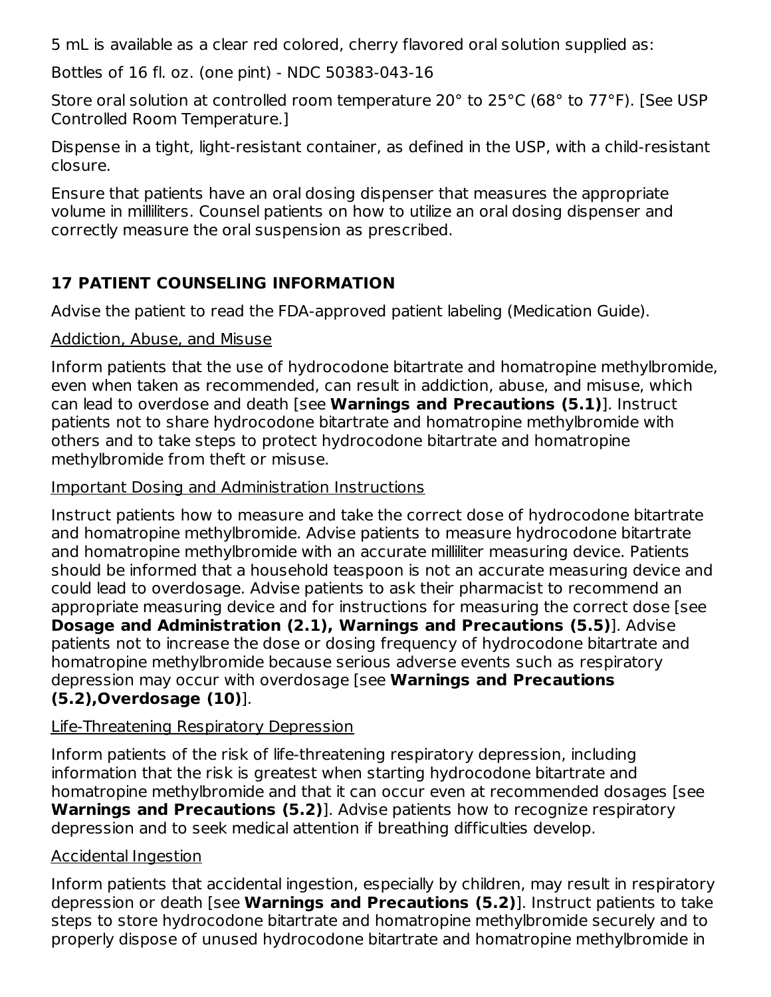5 mL is available as a clear red colored, cherry flavored oral solution supplied as:

Bottles of 16 fl. oz. (one pint) - NDC 50383-043-16

Store oral solution at controlled room temperature 20° to 25°C (68° to 77°F). [See USP Controlled Room Temperature.]

Dispense in a tight, light-resistant container, as defined in the USP, with a child-resistant closure.

Ensure that patients have an oral dosing dispenser that measures the appropriate volume in milliliters. Counsel patients on how to utilize an oral dosing dispenser and correctly measure the oral suspension as prescribed.

# **17 PATIENT COUNSELING INFORMATION**

Advise the patient to read the FDA-approved patient labeling (Medication Guide).

### Addiction, Abuse, and Misuse

Inform patients that the use of hydrocodone bitartrate and homatropine methylbromide, even when taken as recommended, can result in addiction, abuse, and misuse, which can lead to overdose and death [see **Warnings and Precautions (5.1)**]. Instruct patients not to share hydrocodone bitartrate and homatropine methylbromide with others and to take steps to protect hydrocodone bitartrate and homatropine methylbromide from theft or misuse.

## Important Dosing and Administration Instructions

Instruct patients how to measure and take the correct dose of hydrocodone bitartrate and homatropine methylbromide. Advise patients to measure hydrocodone bitartrate and homatropine methylbromide with an accurate milliliter measuring device. Patients should be informed that a household teaspoon is not an accurate measuring device and could lead to overdosage. Advise patients to ask their pharmacist to recommend an appropriate measuring device and for instructions for measuring the correct dose [see **Dosage and Administration (2.1), Warnings and Precautions (5.5)**]. Advise patients not to increase the dose or dosing frequency of hydrocodone bitartrate and homatropine methylbromide because serious adverse events such as respiratory depression may occur with overdosage [see **Warnings and Precautions (5.2),Overdosage (10)**].

# Life-Threatening Respiratory Depression

Inform patients of the risk of life-threatening respiratory depression, including information that the risk is greatest when starting hydrocodone bitartrate and homatropine methylbromide and that it can occur even at recommended dosages [see **Warnings and Precautions (5.2)**]. Advise patients how to recognize respiratory depression and to seek medical attention if breathing difficulties develop.

# Accidental Ingestion

Inform patients that accidental ingestion, especially by children, may result in respiratory depression or death [see **Warnings and Precautions (5.2)**]. Instruct patients to take steps to store hydrocodone bitartrate and homatropine methylbromide securely and to properly dispose of unused hydrocodone bitartrate and homatropine methylbromide in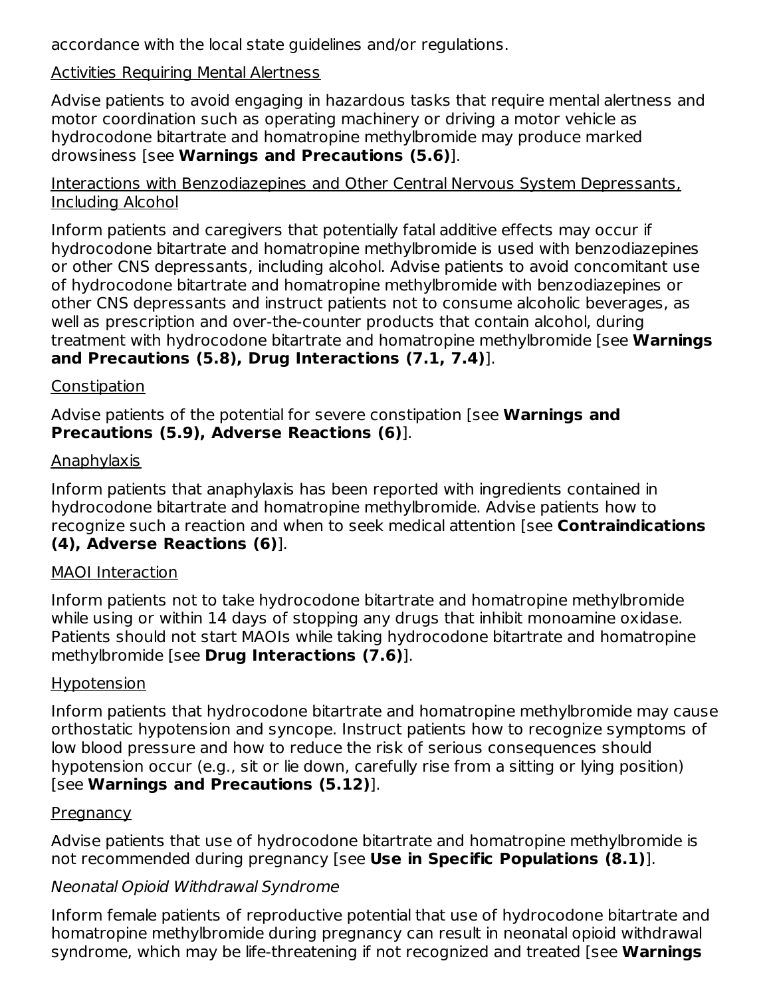accordance with the local state guidelines and/or regulations.

#### Activities Requiring Mental Alertness

Advise patients to avoid engaging in hazardous tasks that require mental alertness and motor coordination such as operating machinery or driving a motor vehicle as hydrocodone bitartrate and homatropine methylbromide may produce marked drowsiness [see **Warnings and Precautions (5.6)**].

#### Interactions with Benzodiazepines and Other Central Nervous System Depressants, Including Alcohol

Inform patients and caregivers that potentially fatal additive effects may occur if hydrocodone bitartrate and homatropine methylbromide is used with benzodiazepines or other CNS depressants, including alcohol. Advise patients to avoid concomitant use of hydrocodone bitartrate and homatropine methylbromide with benzodiazepines or other CNS depressants and instruct patients not to consume alcoholic beverages, as well as prescription and over-the-counter products that contain alcohol, during treatment with hydrocodone bitartrate and homatropine methylbromide [see **Warnings and Precautions (5.8), Drug Interactions (7.1, 7.4)**].

### **Constipation**

Advise patients of the potential for severe constipation [see **Warnings and Precautions (5.9), Adverse Reactions (6)**].

#### Anaphylaxis

Inform patients that anaphylaxis has been reported with ingredients contained in hydrocodone bitartrate and homatropine methylbromide. Advise patients how to recognize such a reaction and when to seek medical attention [see **Contraindications (4), Adverse Reactions (6)**].

#### MAOI Interaction

Inform patients not to take hydrocodone bitartrate and homatropine methylbromide while using or within 14 days of stopping any drugs that inhibit monoamine oxidase. Patients should not start MAOIs while taking hydrocodone bitartrate and homatropine methylbromide [see **Drug Interactions (7.6)**].

### Hypotension

Inform patients that hydrocodone bitartrate and homatropine methylbromide may cause orthostatic hypotension and syncope. Instruct patients how to recognize symptoms of low blood pressure and how to reduce the risk of serious consequences should hypotension occur (e.g., sit or lie down, carefully rise from a sitting or lying position) [see **Warnings and Precautions (5.12)**].

### **Pregnancy**

Advise patients that use of hydrocodone bitartrate and homatropine methylbromide is not recommended during pregnancy [see **Use in Specific Populations (8.1)**].

### Neonatal Opioid Withdrawal Syndrome

Inform female patients of reproductive potential that use of hydrocodone bitartrate and homatropine methylbromide during pregnancy can result in neonatal opioid withdrawal syndrome, which may be life-threatening if not recognized and treated [see **Warnings**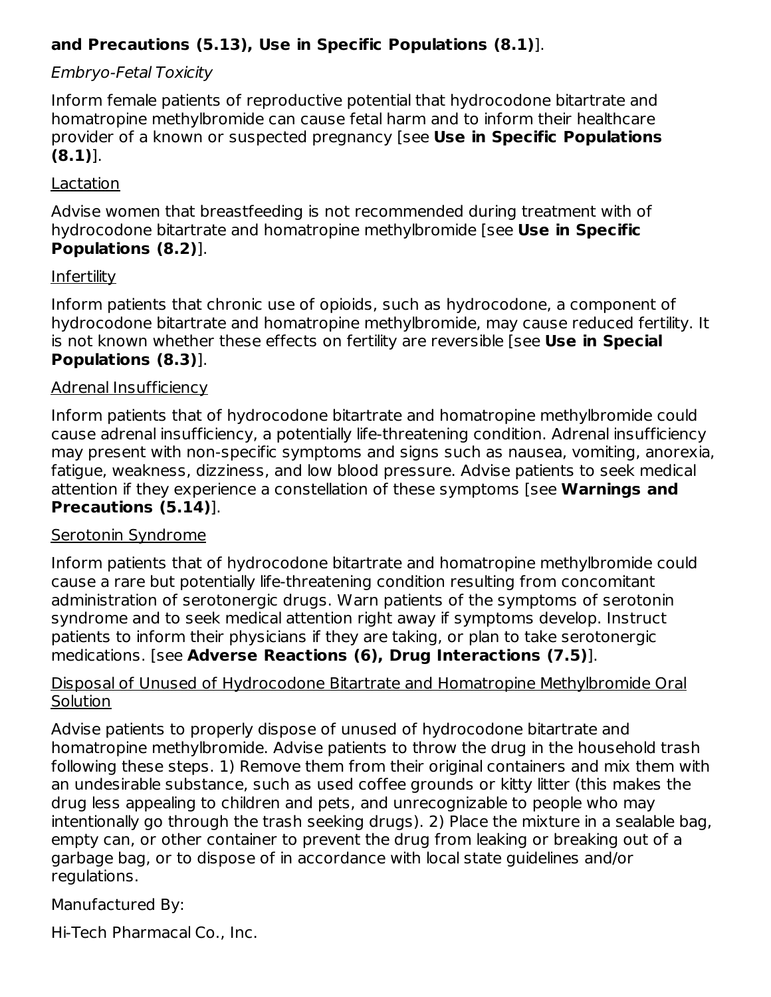### **and Precautions (5.13), Use in Specific Populations (8.1)**].

### Embryo-Fetal Toxicity

Inform female patients of reproductive potential that hydrocodone bitartrate and homatropine methylbromide can cause fetal harm and to inform their healthcare provider of a known or suspected pregnancy [see **Use in Specific Populations (8.1)**].

#### Lactation

Advise women that breastfeeding is not recommended during treatment with of hydrocodone bitartrate and homatropine methylbromide [see **Use in Specific Populations (8.2)**].

#### **Infertility**

Inform patients that chronic use of opioids, such as hydrocodone, a component of hydrocodone bitartrate and homatropine methylbromide, may cause reduced fertility. It is not known whether these effects on fertility are reversible [see **Use in Special Populations (8.3)**].

#### Adrenal Insufficiency

Inform patients that of hydrocodone bitartrate and homatropine methylbromide could cause adrenal insufficiency, a potentially life-threatening condition. Adrenal insufficiency may present with non-specific symptoms and signs such as nausea, vomiting, anorexia, fatigue, weakness, dizziness, and low blood pressure. Advise patients to seek medical attention if they experience a constellation of these symptoms [see **Warnings and Precautions (5.14)**].

### Serotonin Syndrome

Inform patients that of hydrocodone bitartrate and homatropine methylbromide could cause a rare but potentially life-threatening condition resulting from concomitant administration of serotonergic drugs. Warn patients of the symptoms of serotonin syndrome and to seek medical attention right away if symptoms develop. Instruct patients to inform their physicians if they are taking, or plan to take serotonergic medications. [see **Adverse Reactions (6), Drug Interactions (7.5)**].

#### Disposal of Unused of Hydrocodone Bitartrate and Homatropine Methylbromide Oral **Solution**

Advise patients to properly dispose of unused of hydrocodone bitartrate and homatropine methylbromide. Advise patients to throw the drug in the household trash following these steps. 1) Remove them from their original containers and mix them with an undesirable substance, such as used coffee grounds or kitty litter (this makes the drug less appealing to children and pets, and unrecognizable to people who may intentionally go through the trash seeking drugs). 2) Place the mixture in a sealable bag, empty can, or other container to prevent the drug from leaking or breaking out of a garbage bag, or to dispose of in accordance with local state guidelines and/or regulations.

Manufactured By:

Hi-Tech Pharmacal Co., Inc.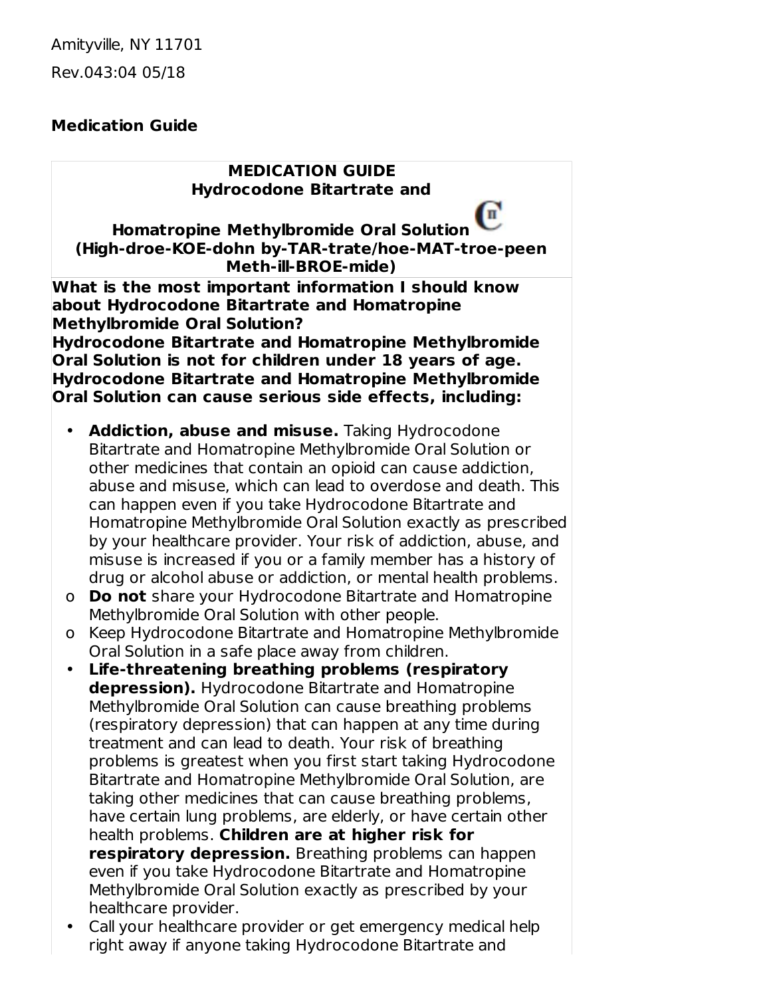Amityville, NY 11701 Rev.043:04 05/18

#### **Medication Guide**

#### **MEDICATION GUIDE Hydrocodone Bitartrate and**

п

**Homatropine Methylbromide Oral Solution (High-droe-KOE-dohn by-TAR-trate/hoe-MAT-troe-peen Meth-ill-BROE-mide)**

**What is the most important information I should know about Hydrocodone Bitartrate and Homatropine Methylbromide Oral Solution? Hydrocodone Bitartrate and Homatropine Methylbromide Oral Solution is not for children under 18 years of age. Hydrocodone Bitartrate and Homatropine Methylbromide Oral Solution can cause serious side effects, including:**

- **Addiction, abuse and misuse.** Taking Hydrocodone Bitartrate and Homatropine Methylbromide Oral Solution or other medicines that contain an opioid can cause addiction, abuse and misuse, which can lead to overdose and death. This can happen even if you take Hydrocodone Bitartrate and Homatropine Methylbromide Oral Solution exactly as prescribed by your healthcare provider. Your risk of addiction, abuse, and misuse is increased if you or a family member has a history of drug or alcohol abuse or addiction, or mental health problems.
- o **Do not** share your Hydrocodone Bitartrate and Homatropine Methylbromide Oral Solution with other people.
- o Keep Hydrocodone Bitartrate and Homatropine Methylbromide Oral Solution in a safe place away from children.
- **Life-threatening breathing problems (respiratory depression).** Hydrocodone Bitartrate and Homatropine Methylbromide Oral Solution can cause breathing problems (respiratory depression) that can happen at any time during treatment and can lead to death. Your risk of breathing problems is greatest when you first start taking Hydrocodone Bitartrate and Homatropine Methylbromide Oral Solution, are taking other medicines that can cause breathing problems, have certain lung problems, are elderly, or have certain other health problems. **Children are at higher risk for respiratory depression.** Breathing problems can happen even if you take Hydrocodone Bitartrate and Homatropine Methylbromide Oral Solution exactly as prescribed by your healthcare provider.
- Call your healthcare provider or get emergency medical help right away if anyone taking Hydrocodone Bitartrate and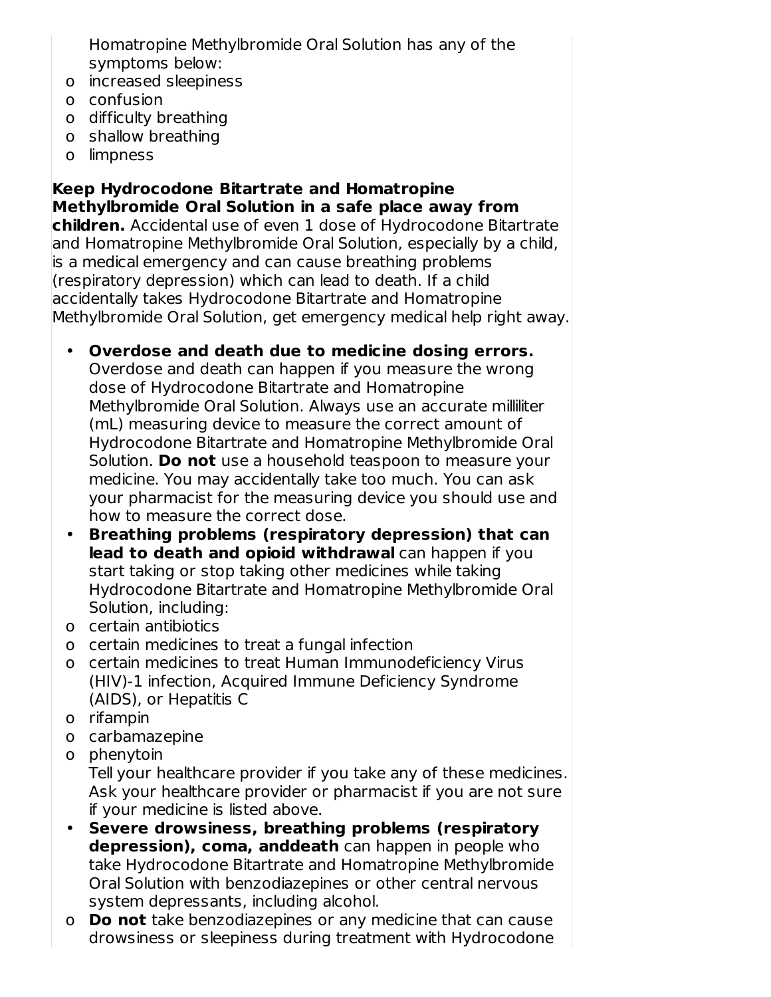Homatropine Methylbromide Oral Solution has any of the symptoms below:

- o increased sleepiness
- o confusion
- o difficulty breathing
- o shallow breathing
- o limpness

**Keep Hydrocodone Bitartrate and Homatropine Methylbromide Oral Solution in a safe place away from children.** Accidental use of even 1 dose of Hydrocodone Bitartrate and Homatropine Methylbromide Oral Solution, especially by a child, is a medical emergency and can cause breathing problems (respiratory depression) which can lead to death. If a child accidentally takes Hydrocodone Bitartrate and Homatropine Methylbromide Oral Solution, get emergency medical help right away.

• **Overdose and death due to medicine dosing errors.** Overdose and death can happen if you measure the wrong dose of Hydrocodone Bitartrate and Homatropine Methylbromide Oral Solution. Always use an accurate milliliter (mL) measuring device to measure the correct amount of Hydrocodone Bitartrate and Homatropine Methylbromide Oral Solution. **Do not** use a household teaspoon to measure your medicine. You may accidentally take too much. You can ask your pharmacist for the measuring device you should use and how to measure the correct dose.

- **Breathing problems (respiratory depression) that can lead to death and opioid withdrawal** can happen if you start taking or stop taking other medicines while taking Hydrocodone Bitartrate and Homatropine Methylbromide Oral Solution, including:
- o certain antibiotics
- o certain medicines to treat a fungal infection
- o certain medicines to treat Human Immunodeficiency Virus (HIV)-1 infection, Acquired Immune Deficiency Syndrome (AIDS), or Hepatitis C
- o rifampin
- o carbamazepine
- o phenytoin

Tell your healthcare provider if you take any of these medicines. Ask your healthcare provider or pharmacist if you are not sure if your medicine is listed above.

- **Severe drowsiness, breathing problems (respiratory depression), coma, anddeath** can happen in people who take Hydrocodone Bitartrate and Homatropine Methylbromide Oral Solution with benzodiazepines or other central nervous system depressants, including alcohol.
- o **Do not** take benzodiazepines or any medicine that can cause drowsiness or sleepiness during treatment with Hydrocodone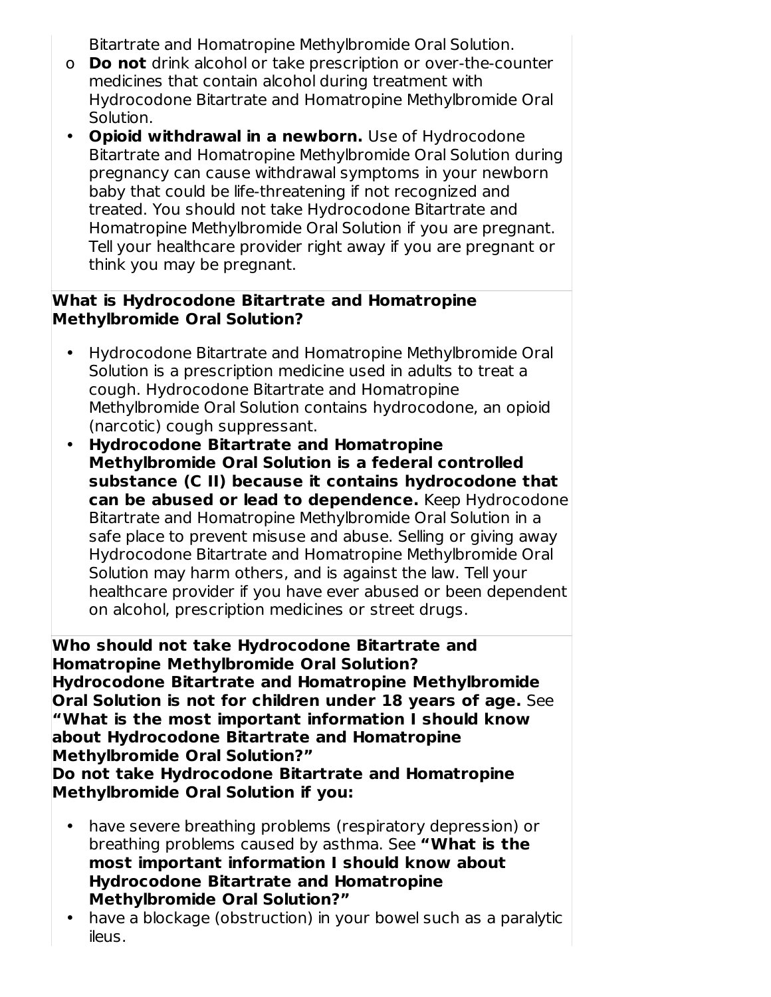Bitartrate and Homatropine Methylbromide Oral Solution.

- o **Do not** drink alcohol or take prescription or over-the-counter medicines that contain alcohol during treatment with Hydrocodone Bitartrate and Homatropine Methylbromide Oral Solution.
- **Opioid withdrawal in a newborn.** Use of Hydrocodone Bitartrate and Homatropine Methylbromide Oral Solution during pregnancy can cause withdrawal symptoms in your newborn baby that could be life-threatening if not recognized and treated. You should not take Hydrocodone Bitartrate and Homatropine Methylbromide Oral Solution if you are pregnant. Tell your healthcare provider right away if you are pregnant or think you may be pregnant.

#### **What is Hydrocodone Bitartrate and Homatropine Methylbromide Oral Solution?**

- Hydrocodone Bitartrate and Homatropine Methylbromide Oral Solution is a prescription medicine used in adults to treat a cough. Hydrocodone Bitartrate and Homatropine Methylbromide Oral Solution contains hydrocodone, an opioid (narcotic) cough suppressant.
- **Hydrocodone Bitartrate and Homatropine Methylbromide Oral Solution is a federal controlled substance (C II) because it contains hydrocodone that can be abused or lead to dependence.** Keep Hydrocodone Bitartrate and Homatropine Methylbromide Oral Solution in a safe place to prevent misuse and abuse. Selling or giving away Hydrocodone Bitartrate and Homatropine Methylbromide Oral Solution may harm others, and is against the law. Tell your healthcare provider if you have ever abused or been dependent on alcohol, prescription medicines or street drugs.

**Who should not take Hydrocodone Bitartrate and Homatropine Methylbromide Oral Solution? Hydrocodone Bitartrate and Homatropine Methylbromide Oral Solution is not for children under 18 years of age.** See **"What is the most important information I should know about Hydrocodone Bitartrate and Homatropine Methylbromide Oral Solution?" Do not take Hydrocodone Bitartrate and Homatropine Methylbromide Oral Solution if you:**

- have severe breathing problems (respiratory depression) or breathing problems caused by asthma. See **"What is the most important information I should know about Hydrocodone Bitartrate and Homatropine Methylbromide Oral Solution?"**
- have a blockage (obstruction) in your bowel such as a paralytic ileus.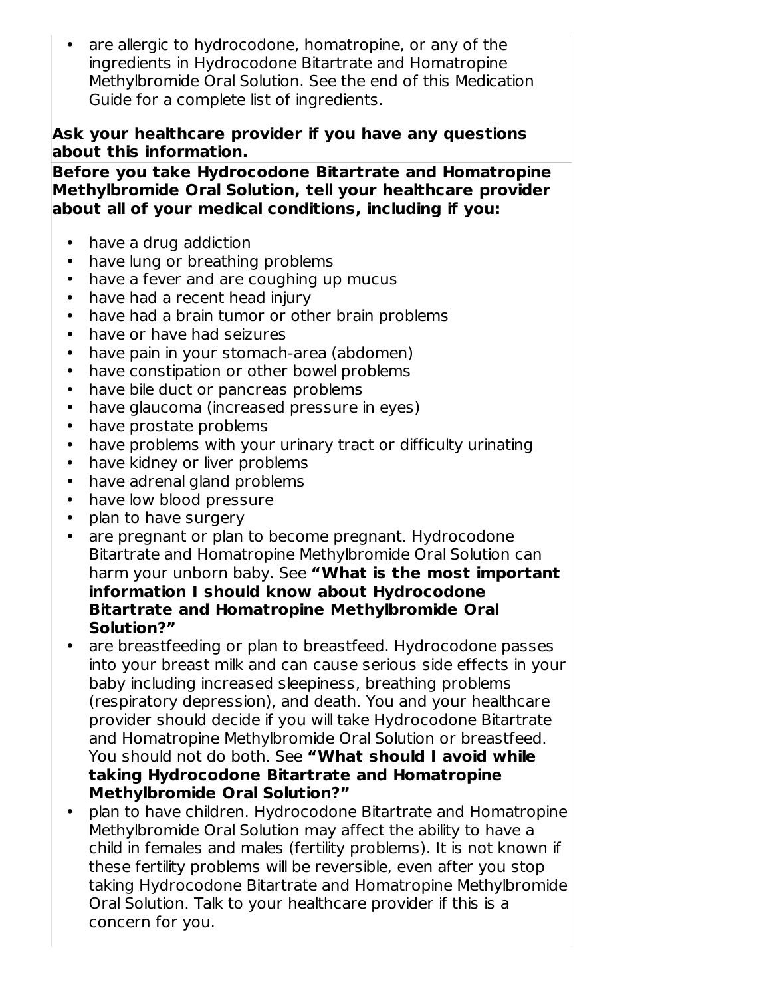• are allergic to hydrocodone, homatropine, or any of the ingredients in Hydrocodone Bitartrate and Homatropine Methylbromide Oral Solution. See the end of this Medication Guide for a complete list of ingredients.

#### **Ask your healthcare provider if you have any questions about this information.**

**Before you take Hydrocodone Bitartrate and Homatropine Methylbromide Oral Solution, tell your healthcare provider about all of your medical conditions, including if you:**

- have a drug addiction
- have lung or breathing problems
- have a fever and are coughing up mucus
- have had a recent head injury
- have had a brain tumor or other brain problems
- have or have had seizures
- have pain in your stomach-area (abdomen)
- have constipation or other bowel problems
- have bile duct or pancreas problems
- have glaucoma (increased pressure in eyes)
- have prostate problems
- have problems with your urinary tract or difficulty urinating
- have kidney or liver problems
- have adrenal gland problems
- have low blood pressure
- plan to have surgery
- are pregnant or plan to become pregnant. Hydrocodone Bitartrate and Homatropine Methylbromide Oral Solution can harm your unborn baby. See **"What is the most important information I should know about Hydrocodone Bitartrate and Homatropine Methylbromide Oral Solution?"**
- are breastfeeding or plan to breastfeed. Hydrocodone passes into your breast milk and can cause serious side effects in your baby including increased sleepiness, breathing problems (respiratory depression), and death. You and your healthcare provider should decide if you will take Hydrocodone Bitartrate and Homatropine Methylbromide Oral Solution or breastfeed. You should not do both. See **"What should I avoid while taking Hydrocodone Bitartrate and Homatropine Methylbromide Oral Solution?"**
- $\bullet$ plan to have children. Hydrocodone Bitartrate and Homatropine Methylbromide Oral Solution may affect the ability to have a child in females and males (fertility problems). It is not known if these fertility problems will be reversible, even after you stop taking Hydrocodone Bitartrate and Homatropine Methylbromide Oral Solution. Talk to your healthcare provider if this is a concern for you.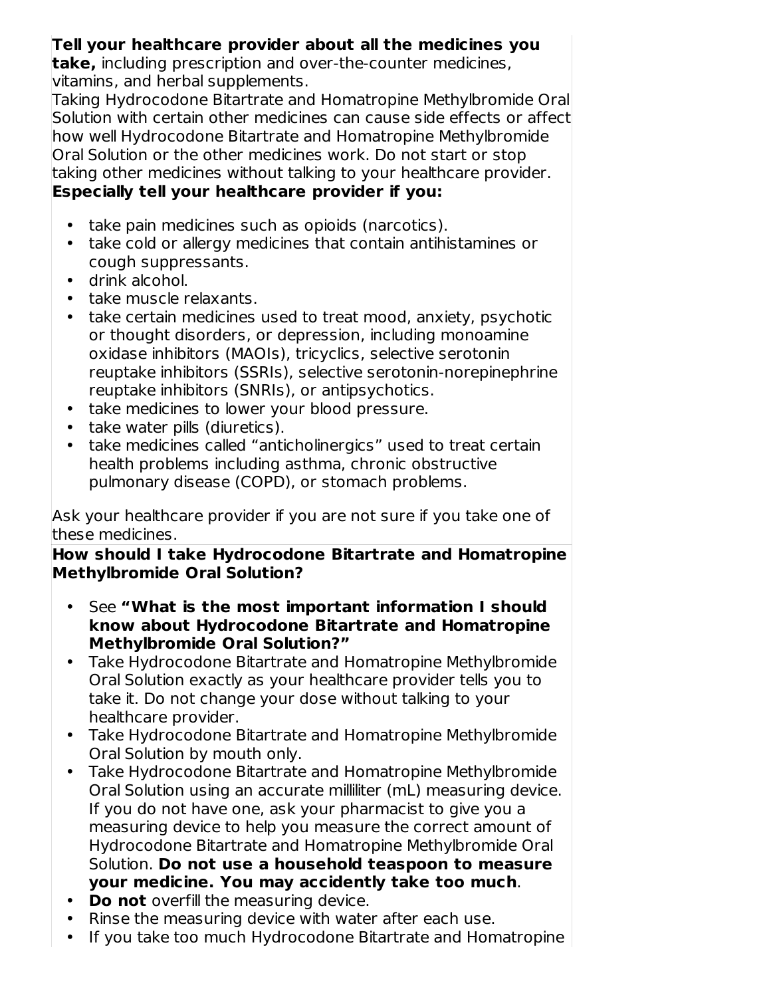### **Tell your healthcare provider about all the medicines you**

**take,** including prescription and over-the-counter medicines, vitamins, and herbal supplements.

Taking Hydrocodone Bitartrate and Homatropine Methylbromide Oral Solution with certain other medicines can cause side effects or affect how well Hydrocodone Bitartrate and Homatropine Methylbromide Oral Solution or the other medicines work. Do not start or stop taking other medicines without talking to your healthcare provider. **Especially tell your healthcare provider if you:**

- take pain medicines such as opioids (narcotics).
- take cold or allergy medicines that contain antihistamines or cough suppressants.
- drink alcohol.
- take muscle relaxants.
- take certain medicines used to treat mood, anxiety, psychotic or thought disorders, or depression, including monoamine oxidase inhibitors (MAOIs), tricyclics, selective serotonin reuptake inhibitors (SSRIs), selective serotonin-norepinephrine reuptake inhibitors (SNRIs), or antipsychotics.
- take medicines to lower your blood pressure.
- take water pills (diuretics).
- take medicines called "anticholinergics" used to treat certain health problems including asthma, chronic obstructive pulmonary disease (COPD), or stomach problems.

Ask your healthcare provider if you are not sure if you take one of these medicines.

#### **How should I take Hydrocodone Bitartrate and Homatropine Methylbromide Oral Solution?**

- See **"What is the most important information I should know about Hydrocodone Bitartrate and Homatropine Methylbromide Oral Solution?"**
- Take Hydrocodone Bitartrate and Homatropine Methylbromide Oral Solution exactly as your healthcare provider tells you to take it. Do not change your dose without talking to your healthcare provider.
- Take Hydrocodone Bitartrate and Homatropine Methylbromide Oral Solution by mouth only.
- Take Hydrocodone Bitartrate and Homatropine Methylbromide Oral Solution using an accurate milliliter (mL) measuring device. If you do not have one, ask your pharmacist to give you a measuring device to help you measure the correct amount of Hydrocodone Bitartrate and Homatropine Methylbromide Oral Solution. **Do not use a household teaspoon to measure your medicine. You may accidently take too much**.
- **Do not** overfill the measuring device.
- Rinse the measuring device with water after each use.
- If you take too much Hydrocodone Bitartrate and Homatropine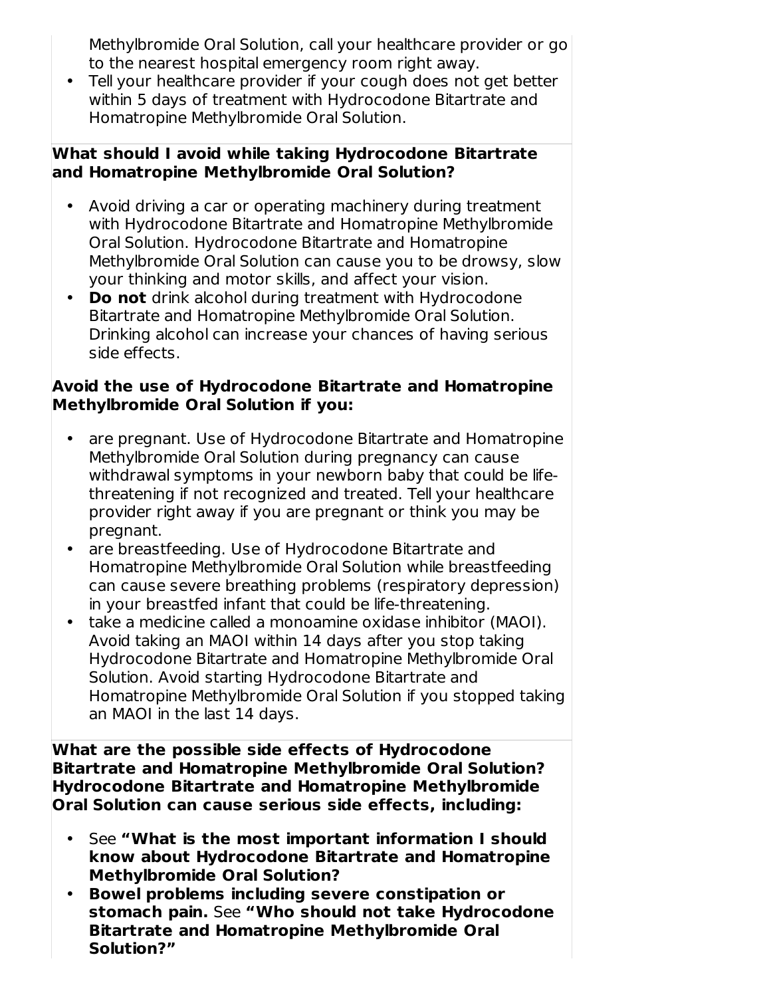Methylbromide Oral Solution, call your healthcare provider or go to the nearest hospital emergency room right away.

• Tell your healthcare provider if your cough does not get better within 5 days of treatment with Hydrocodone Bitartrate and Homatropine Methylbromide Oral Solution.

#### **What should I avoid while taking Hydrocodone Bitartrate and Homatropine Methylbromide Oral Solution?**

- Avoid driving a car or operating machinery during treatment with Hydrocodone Bitartrate and Homatropine Methylbromide Oral Solution. Hydrocodone Bitartrate and Homatropine Methylbromide Oral Solution can cause you to be drowsy, slow your thinking and motor skills, and affect your vision.
- **Do not** drink alcohol during treatment with Hydrocodone Bitartrate and Homatropine Methylbromide Oral Solution. Drinking alcohol can increase your chances of having serious side effects.

#### **Avoid the use of Hydrocodone Bitartrate and Homatropine Methylbromide Oral Solution if you:**

- are pregnant. Use of Hydrocodone Bitartrate and Homatropine Methylbromide Oral Solution during pregnancy can cause withdrawal symptoms in your newborn baby that could be lifethreatening if not recognized and treated. Tell your healthcare provider right away if you are pregnant or think you may be pregnant.
- are breastfeeding. Use of Hydrocodone Bitartrate and Homatropine Methylbromide Oral Solution while breastfeeding can cause severe breathing problems (respiratory depression) in your breastfed infant that could be life-threatening.
- take a medicine called a monoamine oxidase inhibitor (MAOI). Avoid taking an MAOI within 14 days after you stop taking Hydrocodone Bitartrate and Homatropine Methylbromide Oral Solution. Avoid starting Hydrocodone Bitartrate and Homatropine Methylbromide Oral Solution if you stopped taking an MAOI in the last 14 days.

**What are the possible side effects of Hydrocodone Bitartrate and Homatropine Methylbromide Oral Solution? Hydrocodone Bitartrate and Homatropine Methylbromide Oral Solution can cause serious side effects, including:**

- See **"What is the most important information I should know about Hydrocodone Bitartrate and Homatropine Methylbromide Oral Solution?**
- **Bowel problems including severe constipation or stomach pain.** See **"Who should not take Hydrocodone Bitartrate and Homatropine Methylbromide Oral Solution?"**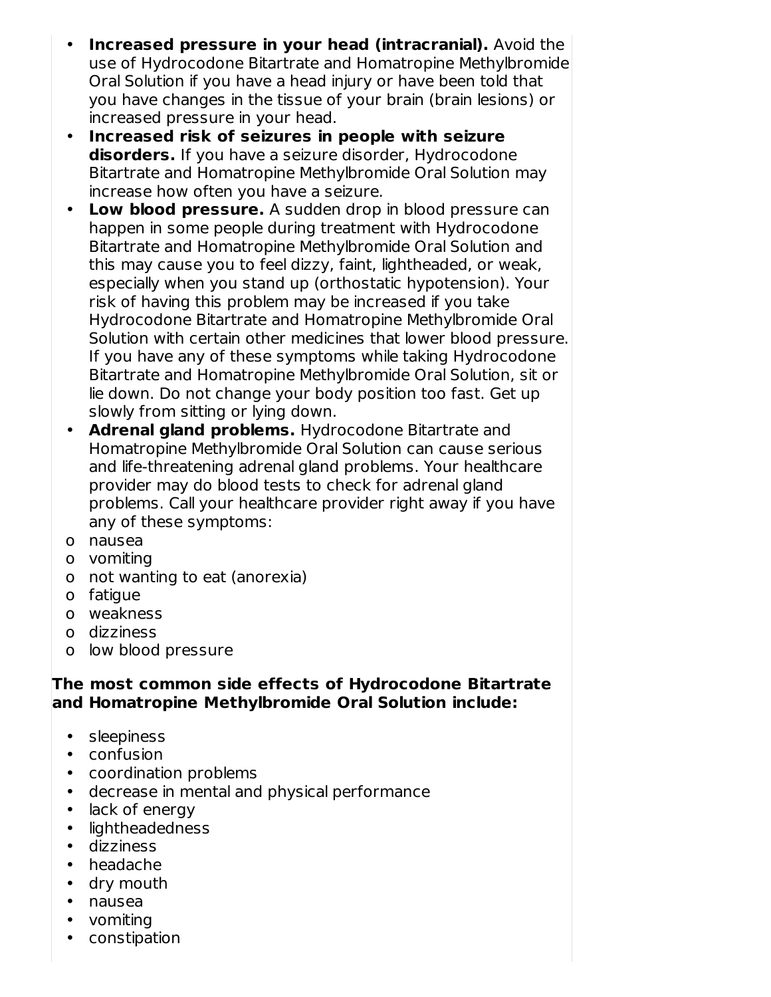- **Increased pressure in your head (intracranial).** Avoid the use of Hydrocodone Bitartrate and Homatropine Methylbromide Oral Solution if you have a head injury or have been told that you have changes in the tissue of your brain (brain lesions) or increased pressure in your head.
- **Increased risk of seizures in people with seizure disorders.** If you have a seizure disorder, Hydrocodone Bitartrate and Homatropine Methylbromide Oral Solution may increase how often you have a seizure.
- **Low blood pressure.** A sudden drop in blood pressure can happen in some people during treatment with Hydrocodone Bitartrate and Homatropine Methylbromide Oral Solution and this may cause you to feel dizzy, faint, lightheaded, or weak, especially when you stand up (orthostatic hypotension). Your risk of having this problem may be increased if you take Hydrocodone Bitartrate and Homatropine Methylbromide Oral Solution with certain other medicines that lower blood pressure. If you have any of these symptoms while taking Hydrocodone Bitartrate and Homatropine Methylbromide Oral Solution, sit or lie down. Do not change your body position too fast. Get up slowly from sitting or lying down.
- **Adrenal gland problems.** Hydrocodone Bitartrate and Homatropine Methylbromide Oral Solution can cause serious and life-threatening adrenal gland problems. Your healthcare provider may do blood tests to check for adrenal gland problems. Call your healthcare provider right away if you have any of these symptoms:
- o nausea
- o vomiting
- o not wanting to eat (anorexia)
- o fatigue
- o weakness
- o dizziness
- o low blood pressure

#### **The most common side effects of Hydrocodone Bitartrate and Homatropine Methylbromide Oral Solution include:**

- sleepiness
- confusion
- coordination problems
- decrease in mental and physical performance
- lack of energy
- lightheadedness
- dizziness
- headache
- dry mouth
- nausea
- vomiting
- constipation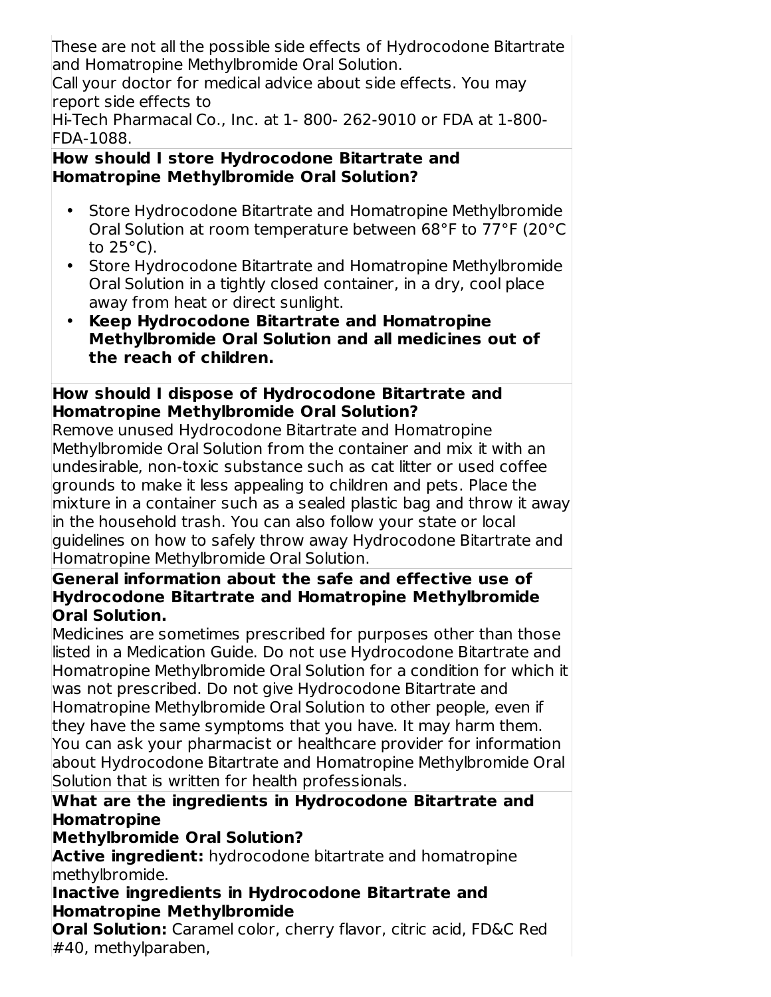These are not all the possible side effects of Hydrocodone Bitartrate and Homatropine Methylbromide Oral Solution.

Call your doctor for medical advice about side effects. You may report side effects to

Hi-Tech Pharmacal Co., Inc. at 1- 800- 262-9010 or FDA at 1-800- FDA-1088.

#### **How should I store Hydrocodone Bitartrate and Homatropine Methylbromide Oral Solution?**

- Store Hydrocodone Bitartrate and Homatropine Methylbromide Oral Solution at room temperature between 68°F to 77°F (20°C to  $25^{\circ}$ C).
- Store Hydrocodone Bitartrate and Homatropine Methylbromide Oral Solution in a tightly closed container, in a dry, cool place away from heat or direct sunlight.
- **Keep Hydrocodone Bitartrate and Homatropine Methylbromide Oral Solution and all medicines out of the reach of children.**

### **How should I dispose of Hydrocodone Bitartrate and Homatropine Methylbromide Oral Solution?**

Remove unused Hydrocodone Bitartrate and Homatropine Methylbromide Oral Solution from the container and mix it with an undesirable, non-toxic substance such as cat litter or used coffee grounds to make it less appealing to children and pets. Place the mixture in a container such as a sealed plastic bag and throw it away in the household trash. You can also follow your state or local guidelines on how to safely throw away Hydrocodone Bitartrate and Homatropine Methylbromide Oral Solution.

#### **General information about the safe and effective use of Hydrocodone Bitartrate and Homatropine Methylbromide Oral Solution.**

Medicines are sometimes prescribed for purposes other than those listed in a Medication Guide. Do not use Hydrocodone Bitartrate and Homatropine Methylbromide Oral Solution for a condition for which it was not prescribed. Do not give Hydrocodone Bitartrate and Homatropine Methylbromide Oral Solution to other people, even if they have the same symptoms that you have. It may harm them. You can ask your pharmacist or healthcare provider for information about Hydrocodone Bitartrate and Homatropine Methylbromide Oral Solution that is written for health professionals.

### **What are the ingredients in Hydrocodone Bitartrate and Homatropine**

### **Methylbromide Oral Solution?**

**Active ingredient:** hydrocodone bitartrate and homatropine methylbromide.

### **Inactive ingredients in Hydrocodone Bitartrate and Homatropine Methylbromide**

**Oral Solution:** Caramel color, cherry flavor, citric acid, FD&C Red #40, methylparaben,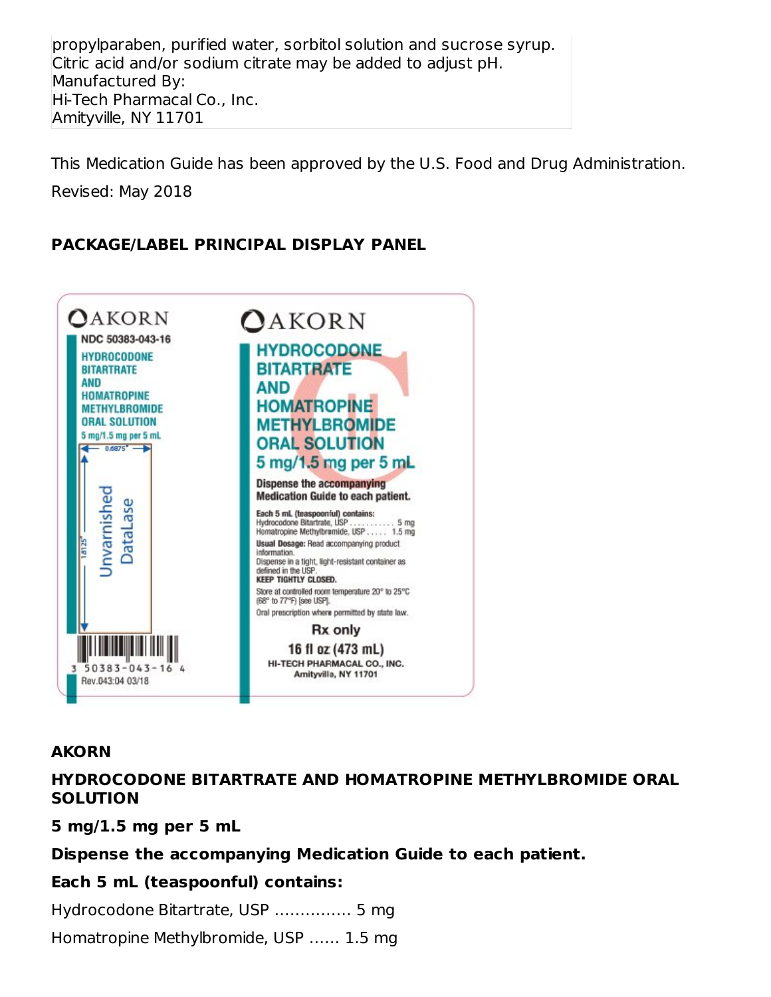propylparaben, purified water, sorbitol solution and sucrose syrup. Citric acid and/or sodium citrate may be added to adjust pH. Manufactured By: Hi-Tech Pharmacal Co., Inc. Amityville, NY 11701

This Medication Guide has been approved by the U.S. Food and Drug Administration.

Revised: May 2018

### **PACKAGE/LABEL PRINCIPAL DISPLAY PANEL**



#### **AKORN**

#### **HYDROCODONE BITARTRATE AND HOMATROPINE METHYLBROMIDE ORAL SOLUTION**

**5 mg/1.5 mg per 5 mL**

#### **Dispense the accompanying Medication Guide to each patient.**

#### **Each 5 mL (teaspoonful) contains:**

Hydrocodone Bitartrate, USP …………… 5 mg

Homatropine Methylbromide, USP …… 1.5 mg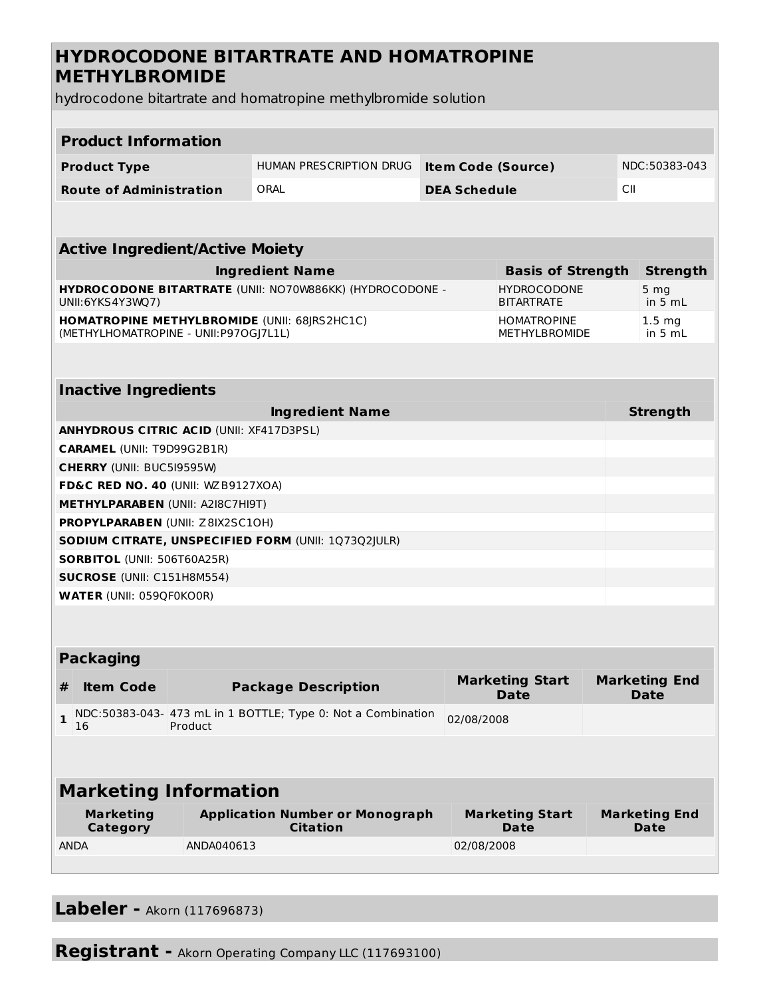### **HYDROCODONE BITARTRATE AND HOMATROPINE METHYLBROMIDE**

hydrocodone bitartrate and homatropine methylbromide solution

| <b>Product Information</b>                                                                                                     |                                        |            |                                                              |                           |                                            |                 |                                     |  |
|--------------------------------------------------------------------------------------------------------------------------------|----------------------------------------|------------|--------------------------------------------------------------|---------------------------|--------------------------------------------|-----------------|-------------------------------------|--|
|                                                                                                                                | <b>Product Type</b>                    |            | HUMAN PRESCRIPTION DRUG                                      | <b>Item Code (Source)</b> |                                            |                 | NDC:50383-043                       |  |
|                                                                                                                                | <b>Route of Administration</b>         |            | ORAL                                                         |                           | <b>DEA Schedule</b>                        |                 | CII                                 |  |
|                                                                                                                                |                                        |            |                                                              |                           |                                            |                 |                                     |  |
|                                                                                                                                |                                        |            |                                                              |                           |                                            |                 |                                     |  |
|                                                                                                                                | <b>Active Ingredient/Active Moiety</b> |            |                                                              |                           |                                            |                 |                                     |  |
| <b>Ingredient Name</b><br><b>Basis of Strength</b>                                                                             |                                        |            |                                                              |                           |                                            |                 | <b>Strength</b>                     |  |
| <b>HYDROCODONE BITARTRATE (UNII: NO70W886KK) (HYDROCODONE -</b><br><b>HYDROCODONE</b><br><b>BITARTRATE</b><br>UNII:6YKS4Y3WQ7) |                                        |            |                                                              |                           |                                            | 5 mg<br>in 5 mL |                                     |  |
|                                                                                                                                | (METHYLHOMATROPINE - UNII:P97OGJ7L1L)  |            | <b>HOMATROPINE METHYLBROMIDE (UNII: 68JRS2HC1C)</b>          |                           | <b>HOMATROPINE</b><br><b>METHYLBROMIDE</b> |                 | $1.5 \, mg$<br>in 5 mL              |  |
|                                                                                                                                |                                        |            |                                                              |                           |                                            |                 |                                     |  |
|                                                                                                                                | <b>Inactive Ingredients</b>            |            |                                                              |                           |                                            |                 |                                     |  |
|                                                                                                                                |                                        |            | <b>Ingredient Name</b>                                       |                           |                                            |                 | <b>Strength</b>                     |  |
| <b>ANHYDROUS CITRIC ACID (UNII: XF417D3PSL)</b>                                                                                |                                        |            |                                                              |                           |                                            |                 |                                     |  |
| <b>CARAMEL (UNII: T9D99G2B1R)</b>                                                                                              |                                        |            |                                                              |                           |                                            |                 |                                     |  |
|                                                                                                                                | <b>CHERRY (UNII: BUC5I9595W)</b>       |            |                                                              |                           |                                            |                 |                                     |  |
| FD&C RED NO. 40 (UNII: WZB9127XOA)                                                                                             |                                        |            |                                                              |                           |                                            |                 |                                     |  |
| <b>METHYLPARABEN (UNII: A2I8C7HI9T)</b>                                                                                        |                                        |            |                                                              |                           |                                            |                 |                                     |  |
| PROPYLPARABEN (UNII: Z8IX2SC10H)                                                                                               |                                        |            |                                                              |                           |                                            |                 |                                     |  |
| <b>SODIUM CITRATE, UNSPECIFIED FORM (UNII: 1Q73Q2JULR)</b>                                                                     |                                        |            |                                                              |                           |                                            |                 |                                     |  |
| <b>SORBITOL (UNII: 506T60A25R)</b>                                                                                             |                                        |            |                                                              |                           |                                            |                 |                                     |  |
| <b>SUCROSE</b> (UNII: C151H8M554)                                                                                              |                                        |            |                                                              |                           |                                            |                 |                                     |  |
| <b>WATER (UNII: 059QF0KO0R)</b>                                                                                                |                                        |            |                                                              |                           |                                            |                 |                                     |  |
|                                                                                                                                |                                        |            |                                                              |                           |                                            |                 |                                     |  |
| <b>Packaging</b>                                                                                                               |                                        |            |                                                              |                           |                                            |                 |                                     |  |
| #                                                                                                                              | <b>Item Code</b>                       |            | <b>Package Description</b>                                   |                           | <b>Marketing Start</b><br><b>Date</b>      |                 | <b>Marketing End</b><br><b>Date</b> |  |
| $\mathbf{1}$                                                                                                                   | 16                                     | Product    | NDC:50383-043- 473 mL in 1 BOTTLE; Type 0: Not a Combination | 02/08/2008                |                                            |                 |                                     |  |
|                                                                                                                                |                                        |            |                                                              |                           |                                            |                 |                                     |  |
| <b>Marketing Information</b>                                                                                                   |                                        |            |                                                              |                           |                                            |                 |                                     |  |
|                                                                                                                                | <b>Marketing</b><br>Category           |            | <b>Application Number or Monograph</b><br><b>Citation</b>    |                           | <b>Marketing Start</b><br><b>Date</b>      |                 | <b>Marketing End</b><br>Date        |  |
|                                                                                                                                | <b>ANDA</b>                            | ANDA040613 |                                                              | 02/08/2008                |                                            |                 |                                     |  |
|                                                                                                                                |                                        |            |                                                              |                           |                                            |                 |                                     |  |

**Labeler -** Akorn (117696873)

**Registrant -** Akorn Operating Company LLC (117693100)